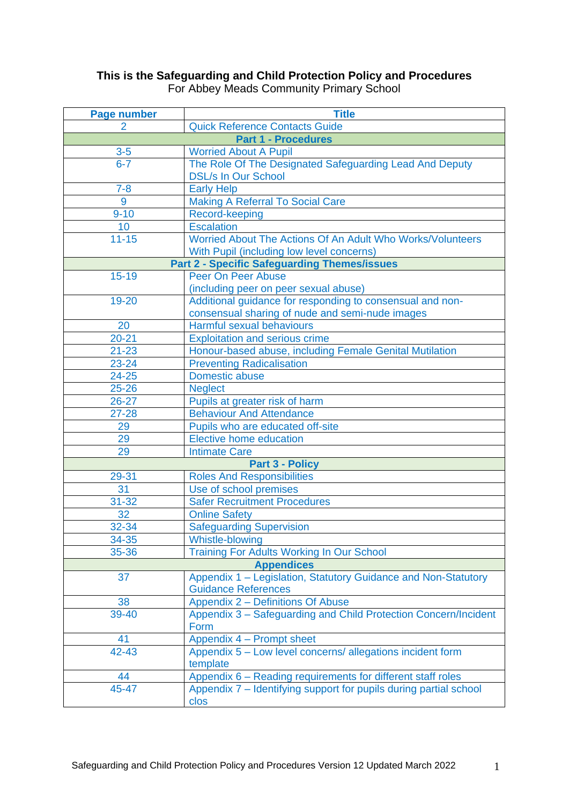# **This is the Safeguarding and Child Protection Policy and Procedures** For Abbey Meads Community Primary School

| <b>Page number</b>                                      | <b>Title</b>                                                                                            |  |  |  |  |  |
|---------------------------------------------------------|---------------------------------------------------------------------------------------------------------|--|--|--|--|--|
| <b>Quick Reference Contacts Guide</b><br>$\overline{2}$ |                                                                                                         |  |  |  |  |  |
|                                                         | <b>Part 1 - Procedures</b>                                                                              |  |  |  |  |  |
| $3-5$                                                   | <b>Worried About A Pupil</b>                                                                            |  |  |  |  |  |
| $6 - 7$                                                 | The Role Of The Designated Safeguarding Lead And Deputy                                                 |  |  |  |  |  |
|                                                         | <b>DSL/s In Our School</b>                                                                              |  |  |  |  |  |
| $7 - 8$                                                 | <b>Early Help</b>                                                                                       |  |  |  |  |  |
| 9                                                       | <b>Making A Referral To Social Care</b>                                                                 |  |  |  |  |  |
| $9 - 10$                                                | Record-keeping                                                                                          |  |  |  |  |  |
| 10                                                      | <b>Escalation</b>                                                                                       |  |  |  |  |  |
| $11 - 15$                                               | Worried About The Actions Of An Adult Who Works/Volunteers<br>With Pupil (including low level concerns) |  |  |  |  |  |
|                                                         | <b>Part 2 - Specific Safeguarding Themes/issues</b>                                                     |  |  |  |  |  |
| $15 - 19$                                               | Peer On Peer Abuse                                                                                      |  |  |  |  |  |
|                                                         | (including peer on peer sexual abuse)                                                                   |  |  |  |  |  |
| 19-20                                                   | Additional guidance for responding to consensual and non-                                               |  |  |  |  |  |
|                                                         | consensual sharing of nude and semi-nude images                                                         |  |  |  |  |  |
| 20                                                      | Harmful sexual behaviours                                                                               |  |  |  |  |  |
| $20 - 21$                                               | <b>Exploitation and serious crime</b>                                                                   |  |  |  |  |  |
| $21 - 23$                                               | Honour-based abuse, including Female Genital Mutilation                                                 |  |  |  |  |  |
| 23-24                                                   | <b>Preventing Radicalisation</b>                                                                        |  |  |  |  |  |
| $24 - 25$                                               | Domestic abuse                                                                                          |  |  |  |  |  |
| $25 - 26$                                               | <b>Neglect</b>                                                                                          |  |  |  |  |  |
| $26 - 27$                                               | Pupils at greater risk of harm                                                                          |  |  |  |  |  |
| $27 - 28$                                               | <b>Behaviour And Attendance</b>                                                                         |  |  |  |  |  |
| 29                                                      | Pupils who are educated off-site                                                                        |  |  |  |  |  |
| 29                                                      | <b>Elective home education</b>                                                                          |  |  |  |  |  |
| 29                                                      | <b>Intimate Care</b>                                                                                    |  |  |  |  |  |
|                                                         | <b>Part 3 - Policy</b>                                                                                  |  |  |  |  |  |
| 29-31                                                   | <b>Roles And Responsibilities</b>                                                                       |  |  |  |  |  |
| 31                                                      | Use of school premises                                                                                  |  |  |  |  |  |
| $31 - 32$                                               | <b>Safer Recruitment Procedures</b>                                                                     |  |  |  |  |  |
| 32                                                      | <b>Online Safety</b>                                                                                    |  |  |  |  |  |
| 32-34                                                   | <b>Safeguarding Supervision</b>                                                                         |  |  |  |  |  |
| 34-35                                                   | <b>Whistle-blowing</b>                                                                                  |  |  |  |  |  |
| 35-36                                                   | <b>Training For Adults Working In Our School</b>                                                        |  |  |  |  |  |
|                                                         | <b>Appendices</b>                                                                                       |  |  |  |  |  |
| 37                                                      | Appendix 1 - Legislation, Statutory Guidance and Non-Statutory<br><b>Guidance References</b>            |  |  |  |  |  |
| 38                                                      | <b>Appendix 2 - Definitions Of Abuse</b>                                                                |  |  |  |  |  |
| 39-40                                                   | Appendix 3 - Safeguarding and Child Protection Concern/Incident                                         |  |  |  |  |  |
|                                                         | Form                                                                                                    |  |  |  |  |  |
| 41                                                      | Appendix 4 – Prompt sheet                                                                               |  |  |  |  |  |
| 42-43                                                   | Appendix 5 - Low level concerns/ allegations incident form                                              |  |  |  |  |  |
|                                                         | template                                                                                                |  |  |  |  |  |
| 44                                                      | Appendix 6 - Reading requirements for different staff roles                                             |  |  |  |  |  |
| 45-47                                                   | Appendix 7 - Identifying support for pupils during partial school                                       |  |  |  |  |  |
|                                                         | clos                                                                                                    |  |  |  |  |  |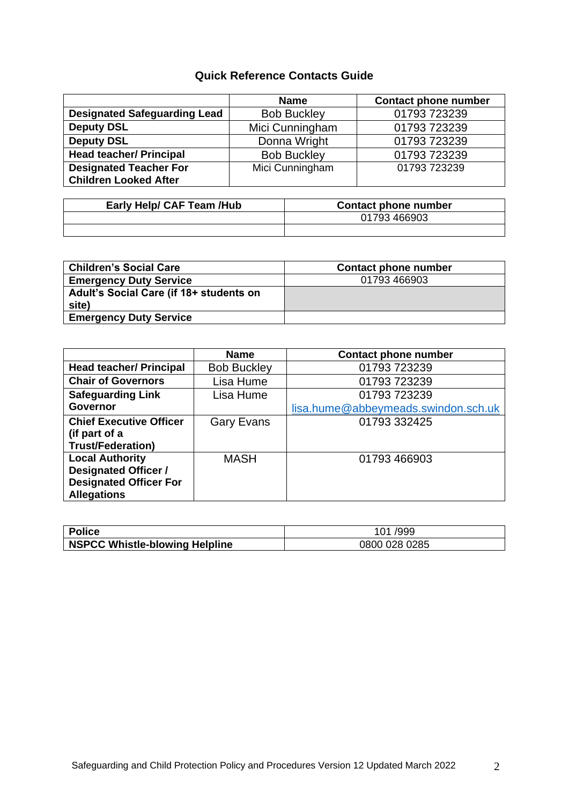# **Quick Reference Contacts Guide**

|                                                               | <b>Name</b>        | <b>Contact phone number</b> |  |
|---------------------------------------------------------------|--------------------|-----------------------------|--|
| <b>Designated Safeguarding Lead</b>                           | <b>Bob Buckley</b> | 01793 723239                |  |
| <b>Deputy DSL</b>                                             | Mici Cunningham    | 01793 723239                |  |
| <b>Deputy DSL</b>                                             | Donna Wright       | 01793 723239                |  |
| <b>Head teacher/ Principal</b>                                | <b>Bob Buckley</b> | 01793 723239                |  |
| <b>Designated Teacher For</b><br><b>Children Looked After</b> | Mici Cunningham    | 01793 723239                |  |

| Early Help/ CAF Team /Hub | <b>Contact phone number</b> |
|---------------------------|-----------------------------|
|                           | 01793 466903                |
|                           |                             |

| <b>Children's Social Care</b>           | <b>Contact phone number</b> |
|-----------------------------------------|-----------------------------|
| <b>Emergency Duty Service</b>           | 01793 466903                |
| Adult's Social Care (if 18+ students on |                             |
| site)                                   |                             |
| <b>Emergency Duty Service</b>           |                             |

|                                | <b>Name</b>        | <b>Contact phone number</b>         |
|--------------------------------|--------------------|-------------------------------------|
| <b>Head teacher/ Principal</b> | <b>Bob Buckley</b> | 01793 723239                        |
| <b>Chair of Governors</b>      | Lisa Hume          | 01793 723239                        |
| <b>Safeguarding Link</b>       | Lisa Hume          | 01793 723239                        |
| <b>Governor</b>                |                    | lisa.hume@abbeymeads.swindon.sch.uk |
| <b>Chief Executive Officer</b> | <b>Gary Evans</b>  | 01793 332425                        |
| (if part of a                  |                    |                                     |
| <b>Trust/Federation)</b>       |                    |                                     |
| <b>Local Authority</b>         | <b>MASH</b>        | 01793 466903                        |
| <b>Designated Officer /</b>    |                    |                                     |
| <b>Designated Officer For</b>  |                    |                                     |
| <b>Allegations</b>             |                    |                                     |

| <b>Police</b>                         | 101/999       |
|---------------------------------------|---------------|
| <b>NSPCC Whistle-blowing Helpline</b> | 0800 028 0285 |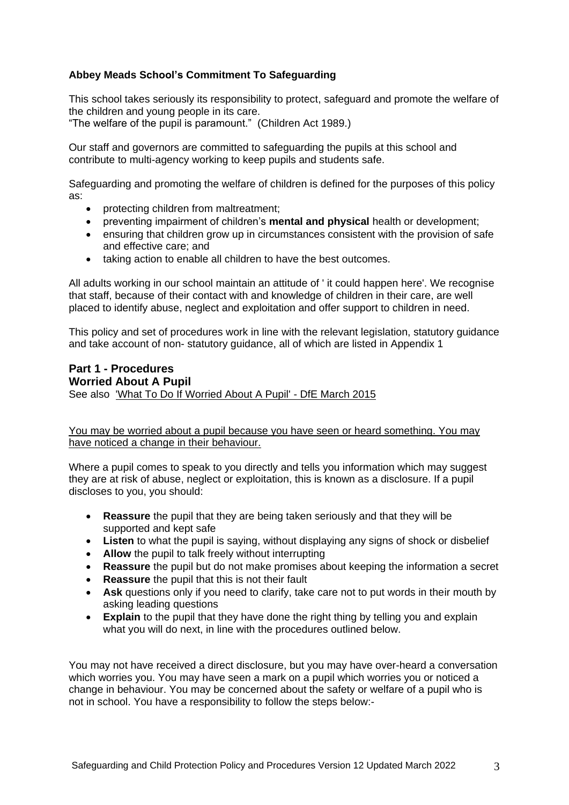## **Abbey Meads School's Commitment To Safeguarding**

This school takes seriously its responsibility to protect, safeguard and promote the welfare of the children and young people in its care.

"The welfare of the pupil is paramount." (Children Act 1989.)

Our staff and governors are committed to safeguarding the pupils at this school and contribute to multi-agency working to keep pupils and students safe.

Safeguarding and promoting the welfare of children is defined for the purposes of this policy as:

- protecting children from maltreatment:
- preventing impairment of children's **mental and physical** health or development;
- ensuring that children grow up in circumstances consistent with the provision of safe and effective care; and
- taking action to enable all children to have the best outcomes.

All adults working in our school maintain an attitude of ' it could happen here'. We recognise that staff, because of their contact with and knowledge of children in their care, are well placed to identify abuse, neglect and exploitation and offer support to children in need.

This policy and set of procedures work in line with the relevant legislation, statutory guidance and take account of non- statutory guidance, all of which are listed in Appendix 1

#### **Part 1 - Procedures Worried About A Pupil** See also ['What To Do If Worried About A Pupil' -](https://www.gov.uk/government/publications/what-to-do-if-youre-worried-a-child-is-being-abused--2) DfE March 2015

You may be worried about a pupil because you have seen or heard something. You may have noticed a change in their behaviour.

Where a pupil comes to speak to you directly and tells you information which may suggest they are at risk of abuse, neglect or exploitation, this is known as a disclosure. If a pupil discloses to you, you should:

- **Reassure** the pupil that they are being taken seriously and that they will be supported and kept safe
- **Listen** to what the pupil is saying, without displaying any signs of shock or disbelief
- **Allow** the pupil to talk freely without interrupting
- **Reassure** the pupil but do not make promises about keeping the information a secret
- **Reassure** the pupil that this is not their fault
- **Ask** questions only if you need to clarify, take care not to put words in their mouth by asking leading questions
- **Explain** to the pupil that they have done the right thing by telling you and explain what you will do next, in line with the procedures outlined below.

You may not have received a direct disclosure, but you may have over-heard a conversation which worries you. You may have seen a mark on a pupil which worries you or noticed a change in behaviour. You may be concerned about the safety or welfare of a pupil who is not in school. You have a responsibility to follow the steps below:-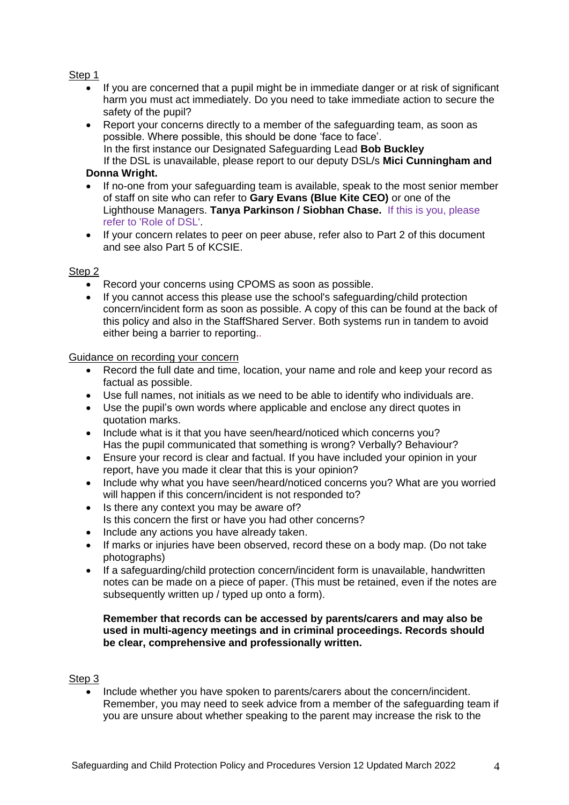## Step 1

- If you are concerned that a pupil might be in immediate danger or at risk of significant harm you must act immediately. Do you need to take immediate action to secure the safety of the pupil?
- Report your concerns directly to a member of the safeguarding team, as soon as possible. Where possible, this should be done 'face to face'. In the first instance our Designated Safeguarding Lead **Bob Buckley** If the DSL is unavailable, please report to our deputy DSL/s **Mici Cunningham and**

## **Donna Wright.**

- If no-one from your safeguarding team is available, speak to the most senior member of staff on site who can refer to **Gary Evans (Blue Kite CEO)** or one of the Lighthouse Managers. **Tanya Parkinson / Siobhan Chase.** If this is you, please refer to 'Role of DSL'.
- If your concern relates to peer on peer abuse, refer also to Part 2 of this document and see also Part 5 of KCSIE.

## Step 2

- Record your concerns using CPOMS as soon as possible.
- If you cannot access this please use the school's safeguarding/child protection concern/incident form as soon as possible. A copy of this can be found at the back of this policy and also in the StaffShared Server. Both systems run in tandem to avoid either being a barrier to reporting.*.*

## Guidance on recording your concern

- Record the full date and time, location, your name and role and keep your record as factual as possible.
- Use full names, not initials as we need to be able to identify who individuals are.
- Use the pupil's own words where applicable and enclose any direct quotes in quotation marks.
- Include what is it that you have seen/heard/noticed which concerns you? Has the pupil communicated that something is wrong? Verbally? Behaviour?
- Ensure your record is clear and factual. If you have included your opinion in your report, have you made it clear that this is your opinion?
- Include why what you have seen/heard/noticed concerns you? What are you worried will happen if this concern/incident is not responded to?
- Is there any context you may be aware of? Is this concern the first or have you had other concerns?
- Include any actions you have already taken.
- If marks or injuries have been observed, record these on a body map. (Do not take photographs)
- If a safeguarding/child protection concern/incident form is unavailable, handwritten notes can be made on a piece of paper. (This must be retained, even if the notes are subsequently written up / typed up onto a form).

## **Remember that records can be accessed by parents/carers and may also be used in multi-agency meetings and in criminal proceedings. Records should be clear, comprehensive and professionally written.**

## Step 3

 Include whether you have spoken to parents/carers about the concern/incident. Remember, you may need to seek advice from a member of the safeguarding team if you are unsure about whether speaking to the parent may increase the risk to the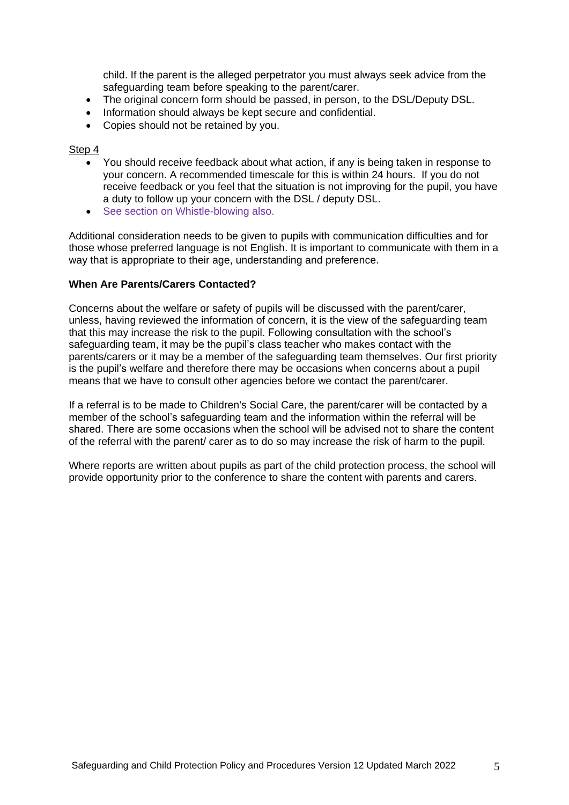child. If the parent is the alleged perpetrator you must always seek advice from the safeguarding team before speaking to the parent/carer.

- The original concern form should be passed, in person, to the DSL/Deputy DSL.
- Information should always be kept secure and confidential.
- Copies should not be retained by you.

#### Step 4

- You should receive feedback about what action, if any is being taken in response to your concern. A recommended timescale for this is within 24 hours. If you do not receive feedback or you feel that the situation is not improving for the pupil, you have a duty to follow up your concern with the DSL / deputy DSL.
- See section on Whistle-blowing also.

Additional consideration needs to be given to pupils with communication difficulties and for those whose preferred language is not English. It is important to communicate with them in a way that is appropriate to their age, understanding and preference.

#### **When Are Parents/Carers Contacted?**

Concerns about the welfare or safety of pupils will be discussed with the parent/carer, unless, having reviewed the information of concern, it is the view of the safeguarding team that this may increase the risk to the pupil. Following consultation with the school's safeguarding team, it may be the pupil's class teacher who makes contact with the parents/carers or it may be a member of the safeguarding team themselves. Our first priority is the pupil's welfare and therefore there may be occasions when concerns about a pupil means that we have to consult other agencies before we contact the parent/carer.

If a referral is to be made to Children's Social Care, the parent/carer will be contacted by a member of the school's safeguarding team and the information within the referral will be shared. There are some occasions when the school will be advised not to share the content of the referral with the parent/ carer as to do so may increase the risk of harm to the pupil.

Where reports are written about pupils as part of the child protection process, the school will provide opportunity prior to the conference to share the content with parents and carers.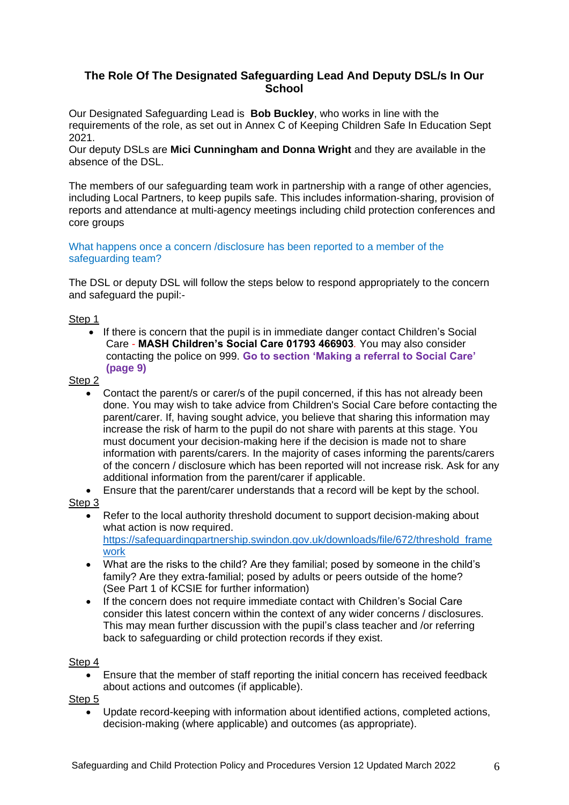# **The Role Of The Designated Safeguarding Lead And Deputy DSL/s In Our School**

Our Designated Safeguarding Lead is **Bob Buckley**, who works in line with the requirements of the role, as set out in Annex C of Keeping Children Safe In Education Sept 2021.

Our deputy DSLs are **Mici Cunningham and Donna Wright** and they are available in the absence of the DSL.

The members of our safeguarding team work in partnership with a range of other agencies, including Local Partners, to keep pupils safe. This includes information-sharing, provision of reports and attendance at multi-agency meetings including child protection conferences and core groups

## What happens once a concern /disclosure has been reported to a member of the safeguarding team?

The DSL or deputy DSL will follow the steps below to respond appropriately to the concern and safeguard the pupil:-

## Step 1

 If there is concern that the pupil is in immediate danger contact Children's Social Care *-* **MASH Children's Social Care 01793 466903***.* You may also consider contacting the police on 999. **Go to section 'Making a referral to Social Care' (page 9)**

## Step<sub>2</sub>

- Contact the parent/s or carer/s of the pupil concerned, if this has not already been done. You may wish to take advice from Children's Social Care before contacting the parent/carer. If, having sought advice, you believe that sharing this information may increase the risk of harm to the pupil do not share with parents at this stage. You must document your decision-making here if the decision is made not to share information with parents/carers. In the majority of cases informing the parents/carers of the concern / disclosure which has been reported will not increase risk. Ask for any additional information from the parent/carer if applicable.
- Ensure that the parent/carer understands that a record will be kept by the school.

## Step 3

- Refer to the local authority threshold document to support decision-making about what action is now required. [https://safeguardingpartnership.swindon.gov.uk/downloads/file/672/threshold\\_frame](https://safeguardingpartnership.swindon.gov.uk/downloads/file/672/threshold_framework) [work](https://safeguardingpartnership.swindon.gov.uk/downloads/file/672/threshold_framework)
- What are the risks to the child? Are they familial; posed by someone in the child's family? Are they extra-familial; posed by adults or peers outside of the home? (See Part 1 of KCSIE for further information)
- If the concern does not require immediate contact with Children's Social Care consider this latest concern within the context of any wider concerns / disclosures. This may mean further discussion with the pupil's class teacher and /or referring back to safeguarding or child protection records if they exist.

## Step 4

 Ensure that the member of staff reporting the initial concern has received feedback about actions and outcomes (if applicable).

Step 5

 Update record-keeping with information about identified actions, completed actions, decision-making (where applicable) and outcomes (as appropriate).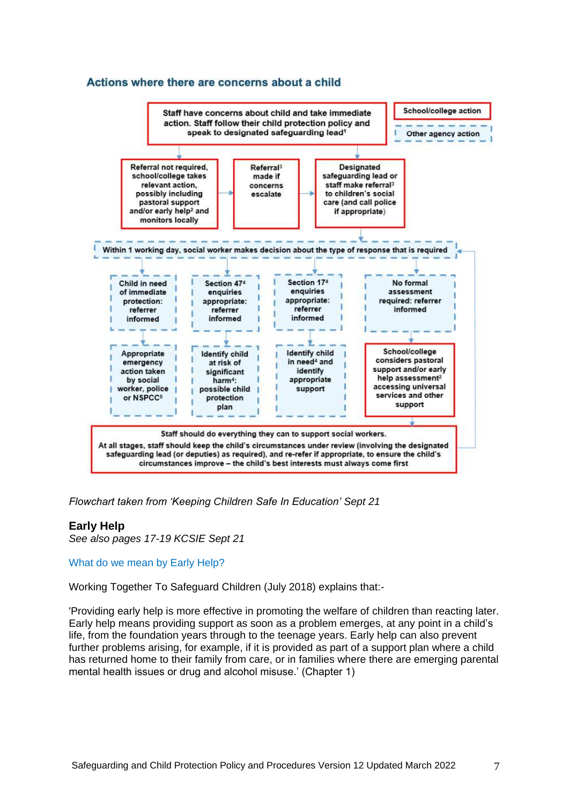## Actions where there are concerns about a child



*Flowchart taken from 'Keeping Children Safe In Education' Sept 21*

#### **Early Help**

*See also pages 17-19 KCSIE Sept 21*

#### What do we mean by Early Help?

Working Together To Safeguard Children (July 2018) explains that:-

'Providing early help is more effective in promoting the welfare of children than reacting later. Early help means providing support as soon as a problem emerges, at any point in a child's life, from the foundation years through to the teenage years. Early help can also prevent further problems arising, for example, if it is provided as part of a support plan where a child has returned home to their family from care, or in families where there are emerging parental mental health issues or drug and alcohol misuse.' (Chapter 1)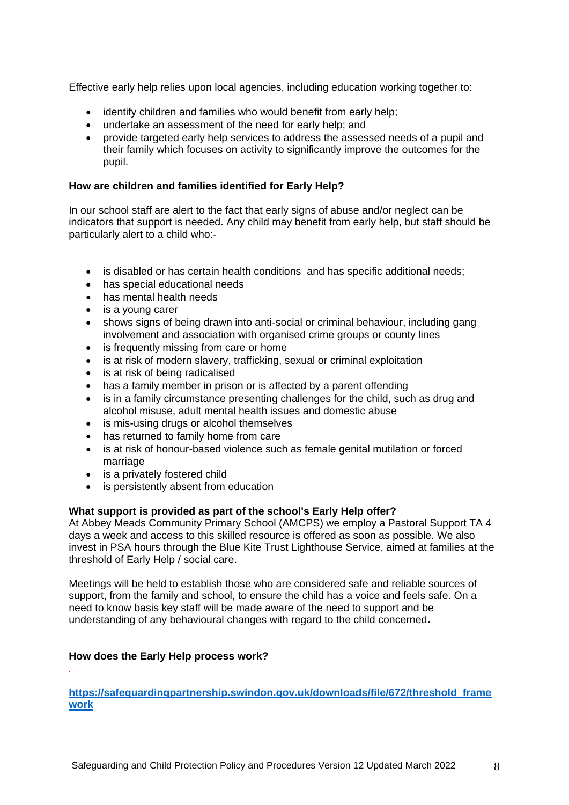Effective early help relies upon local agencies, including education working together to:

- identify children and families who would benefit from early help;
- undertake an assessment of the need for early help; and
- provide targeted early help services to address the assessed needs of a pupil and their family which focuses on activity to significantly improve the outcomes for the pupil.

## **How are children and families identified for Early Help?**

In our school staff are alert to the fact that early signs of abuse and/or neglect can be indicators that support is needed. Any child may benefit from early help, but staff should be particularly alert to a child who:-

- is disabled or has certain health conditions and has specific additional needs;
- has special educational needs
- has mental health needs
- is a young carer
- shows signs of being drawn into anti-social or criminal behaviour, including gang involvement and association with organised crime groups or county lines
- is frequently missing from care or home
- is at risk of modern slavery, trafficking, sexual or criminal exploitation
- is at risk of being radicalised
- has a family member in prison or is affected by a parent offending
- is in a family circumstance presenting challenges for the child, such as drug and alcohol misuse, adult mental health issues and domestic abuse
- is mis-using drugs or alcohol themselves
- has returned to family home from care
- is at risk of honour-based violence such as female genital mutilation or forced marriage
- is a privately fostered child
- is persistently absent from education

## **What support is provided as part of the school's Early Help offer?**

At Abbey Meads Community Primary School (AMCPS) we employ a Pastoral Support TA 4 days a week and access to this skilled resource is offered as soon as possible. We also invest in PSA hours through the Blue Kite Trust Lighthouse Service, aimed at families at the threshold of Early Help / social care.

Meetings will be held to establish those who are considered safe and reliable sources of support, from the family and school, to ensure the child has a voice and feels safe. On a need to know basis key staff will be made aware of the need to support and be understanding of any behavioural changes with regard to the child concerned**.**

## **How does the Early Help process work?**

*.*

**[https://safeguardingpartnership.swindon.gov.uk/downloads/file/672/threshold\\_frame](https://safeguardingpartnership.swindon.gov.uk/downloads/file/672/threshold_framework) [work](https://safeguardingpartnership.swindon.gov.uk/downloads/file/672/threshold_framework)**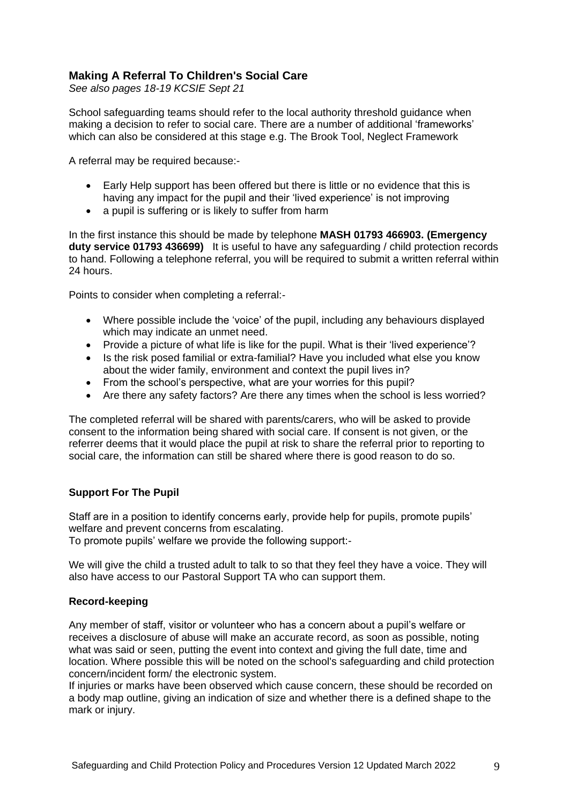# **Making A Referral To Children's Social Care**

*See also pages 18-19 KCSIE Sept 21* 

School safeguarding teams should refer to the local authority threshold guidance when making a decision to refer to social care. There are a number of additional 'frameworks' which can also be considered at this stage e.g. The Brook Tool, Neglect Framework

A referral may be required because:-

- Early Help support has been offered but there is little or no evidence that this is having any impact for the pupil and their 'lived experience' is not improving
- a pupil is suffering or is likely to suffer from harm

In the first instance this should be made by telephone **MASH 01793 466903. (Emergency duty service 01793 436699)** It is useful to have any safeguarding / child protection records to hand. Following a telephone referral, you will be required to submit a written referral within 24 hours.

Points to consider when completing a referral:-

- Where possible include the 'voice' of the pupil, including any behaviours displayed which may indicate an unmet need.
- Provide a picture of what life is like for the pupil. What is their 'lived experience'?
- Is the risk posed familial or extra-familial? Have you included what else you know about the wider family, environment and context the pupil lives in?
- From the school's perspective, what are your worries for this pupil?
- Are there any safety factors? Are there any times when the school is less worried?

The completed referral will be shared with parents/carers, who will be asked to provide consent to the information being shared with social care. If consent is not given, or the referrer deems that it would place the pupil at risk to share the referral prior to reporting to social care, the information can still be shared where there is good reason to do so.

## **Support For The Pupil**

Staff are in a position to identify concerns early, provide help for pupils, promote pupils' welfare and prevent concerns from escalating. To promote pupils' welfare we provide the following support:-

We will give the child a trusted adult to talk to so that they feel they have a voice. They will also have access to our Pastoral Support TA who can support them.

## **Record-keeping**

Any member of staff, visitor or volunteer who has a concern about a pupil's welfare or receives a disclosure of abuse will make an accurate record, as soon as possible, noting what was said or seen, putting the event into context and giving the full date, time and location. Where possible this will be noted on the school's safeguarding and child protection concern/incident form/ the electronic system.

If injuries or marks have been observed which cause concern, these should be recorded on a body map outline, giving an indication of size and whether there is a defined shape to the mark or injury.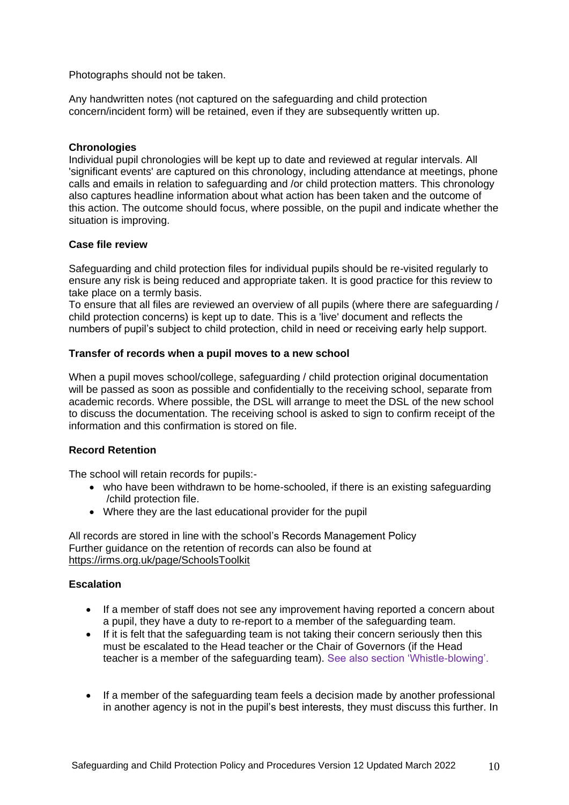Photographs should not be taken.

Any handwritten notes (not captured on the safeguarding and child protection concern/incident form) will be retained, even if they are subsequently written up.

## **Chronologies**

Individual pupil chronologies will be kept up to date and reviewed at regular intervals. All 'significant events' are captured on this chronology, including attendance at meetings, phone calls and emails in relation to safeguarding and /or child protection matters. This chronology also captures headline information about what action has been taken and the outcome of this action. The outcome should focus, where possible, on the pupil and indicate whether the situation is improving.

## **Case file review**

Safeguarding and child protection files for individual pupils should be re-visited regularly to ensure any risk is being reduced and appropriate taken. It is good practice for this review to take place on a termly basis.

To ensure that all files are reviewed an overview of all pupils (where there are safeguarding / child protection concerns) is kept up to date. This is a 'live' document and reflects the numbers of pupil's subject to child protection, child in need or receiving early help support.

## **Transfer of records when a pupil moves to a new school**

When a pupil moves school/college, safeguarding / child protection original documentation will be passed as soon as possible and confidentially to the receiving school, separate from academic records. Where possible, the DSL will arrange to meet the DSL of the new school to discuss the documentation. The receiving school is asked to sign to confirm receipt of the information and this confirmation is stored on file.

## **Record Retention**

The school will retain records for pupils:-

- who have been withdrawn to be home-schooled, if there is an existing safeguarding /child protection file.
- Where they are the last educational provider for the pupil

All records are stored in line with the school's Records Management Policy Further guidance on the retention of records can also be found at <https://irms.org.uk/page/SchoolsToolkit>

## **Escalation**

- If a member of staff does not see any improvement having reported a concern about a pupil, they have a duty to re-report to a member of the safeguarding team.
- If it is felt that the safeguarding team is not taking their concern seriously then this must be escalated to the Head teacher or the Chair of Governors (if the Head teacher is a member of the safeguarding team). See also section 'Whistle-blowing'.
- If a member of the safeguarding team feels a decision made by another professional in another agency is not in the pupil's best interests, they must discuss this further. In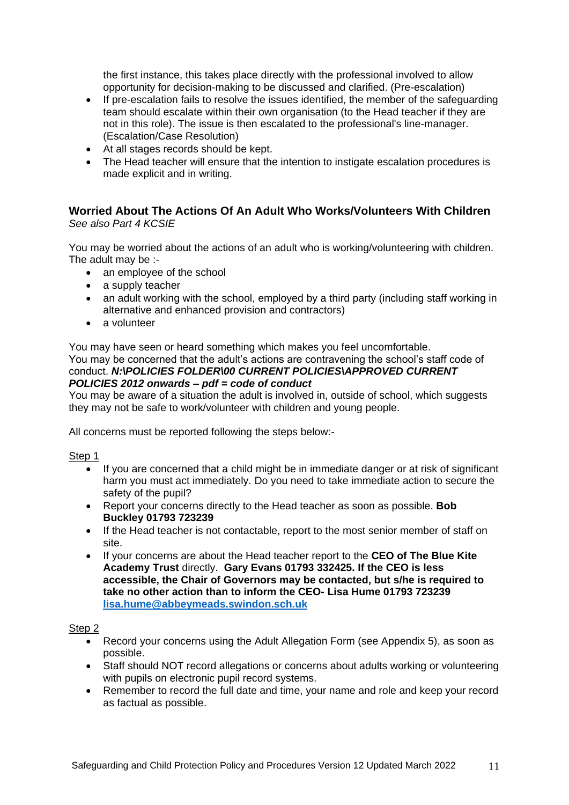the first instance, this takes place directly with the professional involved to allow opportunity for decision-making to be discussed and clarified. (Pre-escalation)

- If pre-escalation fails to resolve the issues identified, the member of the safeguarding team should escalate within their own organisation (to the Head teacher if they are not in this role). The issue is then escalated to the professional's line-manager. (Escalation/Case Resolution)
- At all stages records should be kept.
- The Head teacher will ensure that the intention to instigate escalation procedures is made explicit and in writing.

## **Worried About The Actions Of An Adult Who Works/Volunteers With Children** *See also Part 4 KCSIE*

You may be worried about the actions of an adult who is working/volunteering with children. The adult may be :-

- an employee of the school
- a supply teacher
- an adult working with the school, employed by a third party (including staff working in alternative and enhanced provision and contractors)
- a volunteer

You may have seen or heard something which makes you feel uncomfortable.

You may be concerned that the adult's actions are contravening the school's staff code of conduct. *N:\POLICIES FOLDER\00 CURRENT POLICIES\APPROVED CURRENT POLICIES 2012 onwards – pdf = code of conduct*

You may be aware of a situation the adult is involved in, outside of school, which suggests they may not be safe to work/volunteer with children and young people.

All concerns must be reported following the steps below:-

## Step<sub>1</sub>

- If you are concerned that a child might be in immediate danger or at risk of significant harm you must act immediately. Do you need to take immediate action to secure the safety of the pupil?
- Report your concerns directly to the Head teacher as soon as possible. **Bob Buckley 01793 723239**
- If the Head teacher is not contactable, report to the most senior member of staff on site.
- If your concerns are about the Head teacher report to the **CEO of The Blue Kite Academy Trust** directly. **Gary Evans 01793 332425. If the CEO is less accessible, the Chair of Governors may be contacted, but s/he is required to take no other action than to inform the CEO- Lisa Hume 01793 723239 [lisa.hume@abbeymeads.swindon.sch.uk](mailto:lisa.hume@abbeymeads.swindon.sch.uk)**

## Step 2

- Record your concerns using the Adult Allegation Form (see Appendix 5), as soon as possible.
- Staff should NOT record allegations or concerns about adults working or volunteering with pupils on electronic pupil record systems.
- Remember to record the full date and time, your name and role and keep your record as factual as possible.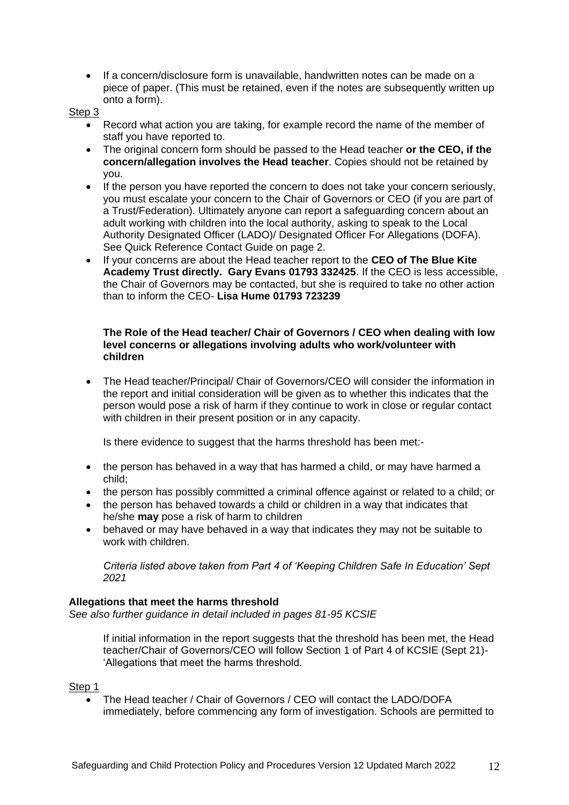If a concern/disclosure form is unavailable, handwritten notes can be made on a piece of paper. (This must be retained, even if the notes are subsequently written up onto a form).

Step 3

- Record what action you are taking, for example record the name of the member of staff you have reported to.
- The original concern form should be passed to the Head teacher **or the CEO, if the concern/allegation involves the Head teacher**. Copies should not be retained by you.
- If the person you have reported the concern to does not take your concern seriously, you must escalate your concern to the Chair of Governors or CEO (if you are part of a Trust/Federation). Ultimately anyone can report a safeguarding concern about an adult working with children into the local authority, asking to speak to the Local Authority Designated Officer (LADO)/ Designated Officer For Allegations (DOFA). See Quick Reference Contact Guide on page 2.
- If your concerns are about the Head teacher report to the **CEO of The Blue Kite Academy Trust directly. Gary Evans 01793 332425**. If the CEO is less accessible, the Chair of Governors may be contacted, but she is required to take no other action than to inform the CEO- **Lisa Hume 01793 723239**

## **The Role of the Head teacher/ Chair of Governors / CEO when dealing with low level concerns or allegations involving adults who work/volunteer with children**

 The Head teacher/Principal/ Chair of Governors/CEO will consider the information in the report and initial consideration will be given as to whether this indicates that the person would pose a risk of harm if they continue to work in close or regular contact with children in their present position or in any capacity.

Is there evidence to suggest that the harms threshold has been met:-

- the person has behaved in a way that has harmed a child, or may have harmed a child;
- the person has possibly committed a criminal offence against or related to a child; or
- the person has behaved towards a child or children in a way that indicates that he/she **may** pose a risk of harm to children
- behaved or may have behaved in a way that indicates they may not be suitable to work with children.

*Criteria listed above taken from Part 4 of 'Keeping Children Safe In Education' Sept 2021*

## **Allegations that meet the harms threshold**

*See also further guidance in detail included in pages 81-95 KCSIE*

If initial information in the report suggests that the threshold has been met, the Head teacher/Chair of Governors/CEO will follow Section 1 of Part 4 of KCSIE (Sept 21)- 'Allegations that meet the harms threshold.

## Step 1

 The Head teacher / Chair of Governors / CEO will contact the LADO/DOFA immediately, before commencing any form of investigation. Schools are permitted to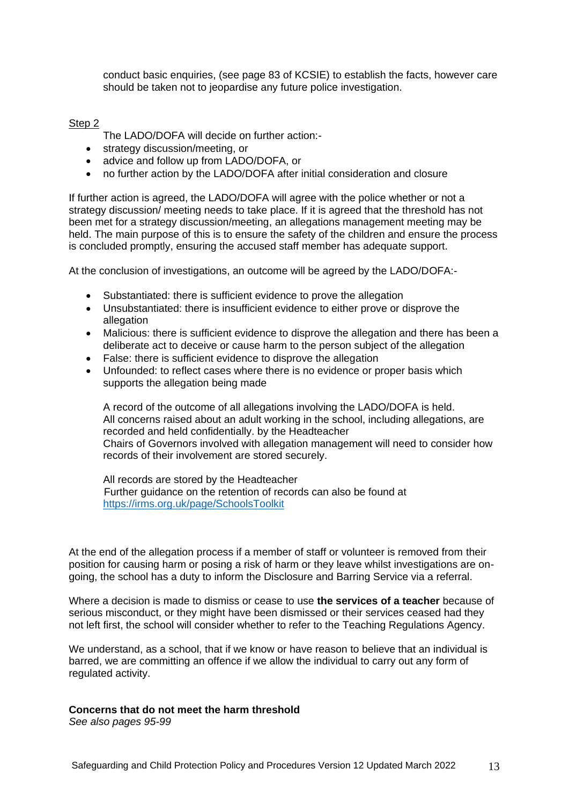conduct basic enquiries, (see page 83 of KCSIE) to establish the facts, however care should be taken not to jeopardise any future police investigation.

## Step 2

The LADO/DOFA will decide on further action:-

- strategy discussion/meeting, or
- advice and follow up from LADO/DOFA, or
- no further action by the LADO/DOFA after initial consideration and closure

If further action is agreed, the LADO/DOFA will agree with the police whether or not a strategy discussion/ meeting needs to take place. If it is agreed that the threshold has not been met for a strategy discussion/meeting, an allegations management meeting may be held. The main purpose of this is to ensure the safety of the children and ensure the process is concluded promptly, ensuring the accused staff member has adequate support.

At the conclusion of investigations, an outcome will be agreed by the LADO/DOFA:-

- Substantiated: there is sufficient evidence to prove the allegation
- Unsubstantiated: there is insufficient evidence to either prove or disprove the allegation
- Malicious: there is sufficient evidence to disprove the allegation and there has been a deliberate act to deceive or cause harm to the person subject of the allegation
- False: there is sufficient evidence to disprove the allegation
- Unfounded: to reflect cases where there is no evidence or proper basis which supports the allegation being made

A record of the outcome of all allegations involving the LADO/DOFA is held. All concerns raised about an adult working in the school, including allegations, are recorded and held confidentially. by the Headteacher Chairs of Governors involved with allegation management will need to consider how records of their involvement are stored securely.

All records are stored by the Headteacher Further guidance on the retention of records can also be found at <https://irms.org.uk/page/SchoolsToolkit>

At the end of the allegation process if a member of staff or volunteer is removed from their position for causing harm or posing a risk of harm or they leave whilst investigations are ongoing, the school has a duty to inform the Disclosure and Barring Service via a referral.

Where a decision is made to dismiss or cease to use **the services of a teacher** because of serious misconduct, or they might have been dismissed or their services ceased had they not left first, the school will consider whether to refer to the Teaching Regulations Agency.

We understand, as a school, that if we know or have reason to believe that an individual is barred, we are committing an offence if we allow the individual to carry out any form of regulated activity.

## **Concerns that do not meet the harm threshold**

*See also pages 95-99*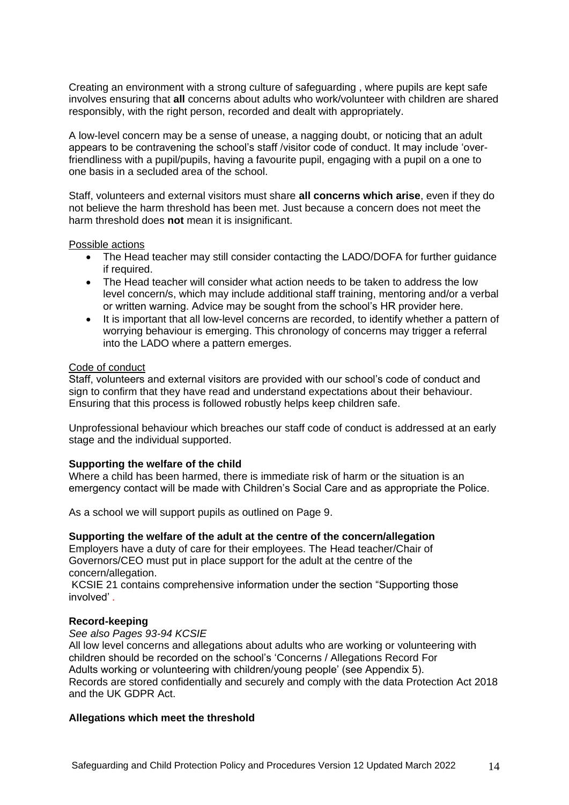Creating an environment with a strong culture of safeguarding , where pupils are kept safe involves ensuring that **all** concerns about adults who work/volunteer with children are shared responsibly, with the right person, recorded and dealt with appropriately.

A low-level concern may be a sense of unease, a nagging doubt, or noticing that an adult appears to be contravening the school's staff /visitor code of conduct. It may include 'overfriendliness with a pupil/pupils, having a favourite pupil, engaging with a pupil on a one to one basis in a secluded area of the school.

Staff, volunteers and external visitors must share **all concerns which arise**, even if they do not believe the harm threshold has been met. Just because a concern does not meet the harm threshold does **not** mean it is insignificant.

#### Possible actions

- The Head teacher may still consider contacting the LADO/DOFA for further guidance if required.
- The Head teacher will consider what action needs to be taken to address the low level concern/s, which may include additional staff training, mentoring and/or a verbal or written warning. Advice may be sought from the school's HR provider here.
- It is important that all low-level concerns are recorded, to identify whether a pattern of worrying behaviour is emerging. This chronology of concerns may trigger a referral into the LADO where a pattern emerges.

#### Code of conduct

Staff, volunteers and external visitors are provided with our school's code of conduct and sign to confirm that they have read and understand expectations about their behaviour. Ensuring that this process is followed robustly helps keep children safe.

Unprofessional behaviour which breaches our staff code of conduct is addressed at an early stage and the individual supported.

#### **Supporting the welfare of the child**

Where a child has been harmed, there is immediate risk of harm or the situation is an emergency contact will be made with Children's Social Care and as appropriate the Police.

As a school we will support pupils as outlined on Page 9.

#### **Supporting the welfare of the adult at the centre of the concern/allegation**

Employers have a duty of care for their employees. The Head teacher/Chair of Governors/CEO must put in place support for the adult at the centre of the concern/allegation.

KCSIE 21 contains comprehensive information under the section "Supporting those involved' *.*

#### **Record-keeping**

#### *See also Pages 93-94 KCSIE*

All low level concerns and allegations about adults who are working or volunteering with children should be recorded on the school's 'Concerns / Allegations Record For Adults working or volunteering with children/young people' (see Appendix 5). Records are stored confidentially and securely and comply with the data Protection Act 2018 and the UK GDPR Act.

#### **Allegations which meet the threshold**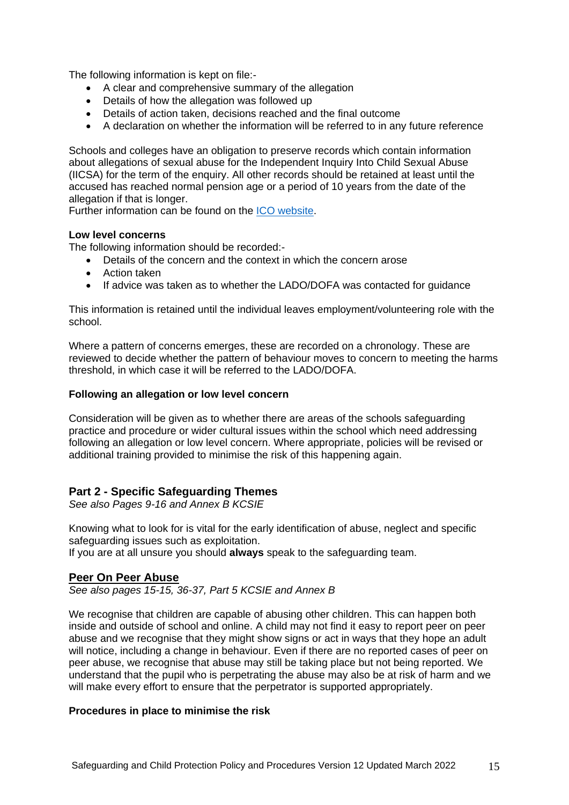The following information is kept on file:-

- A clear and comprehensive summary of the allegation
- Details of how the allegation was followed up
- Details of action taken, decisions reached and the final outcome
- A declaration on whether the information will be referred to in any future reference

Schools and colleges have an obligation to preserve records which contain information about allegations of sexual abuse for the Independent Inquiry Into Child Sexual Abuse (IICSA) for the term of the enquiry. All other records should be retained at least until the accused has reached normal pension age or a period of 10 years from the date of the allegation if that is longer.

Further information can be found on the [ICO website.](https://ico.org.uk/media/for-organisations/documents/1064/the_employment_practices_code.pdf)

## **Low level concerns**

The following information should be recorded:-

- Details of the concern and the context in which the concern arose
- Action taken
- If advice was taken as to whether the LADO/DOFA was contacted for guidance

This information is retained until the individual leaves employment/volunteering role with the school.

Where a pattern of concerns emerges, these are recorded on a chronology. These are reviewed to decide whether the pattern of behaviour moves to concern to meeting the harms threshold, in which case it will be referred to the LADO/DOFA.

## **Following an allegation or low level concern**

Consideration will be given as to whether there are areas of the schools safeguarding practice and procedure or wider cultural issues within the school which need addressing following an allegation or low level concern. Where appropriate, policies will be revised or additional training provided to minimise the risk of this happening again.

# **Part 2 - Specific Safeguarding Themes**

*See also Pages 9-16 and Annex B KCSIE*

Knowing what to look for is vital for the early identification of abuse, neglect and specific safeguarding issues such as exploitation.

If you are at all unsure you should **always** speak to the safeguarding team.

# **Peer On Peer Abuse**

*See also pages 15-15, 36-37, Part 5 KCSIE and Annex B*

We recognise that children are capable of abusing other children. This can happen both inside and outside of school and online. A child may not find it easy to report peer on peer abuse and we recognise that they might show signs or act in ways that they hope an adult will notice, including a change in behaviour. Even if there are no reported cases of peer on peer abuse, we recognise that abuse may still be taking place but not being reported. We understand that the pupil who is perpetrating the abuse may also be at risk of harm and we will make every effort to ensure that the perpetrator is supported appropriately.

## **Procedures in place to minimise the risk**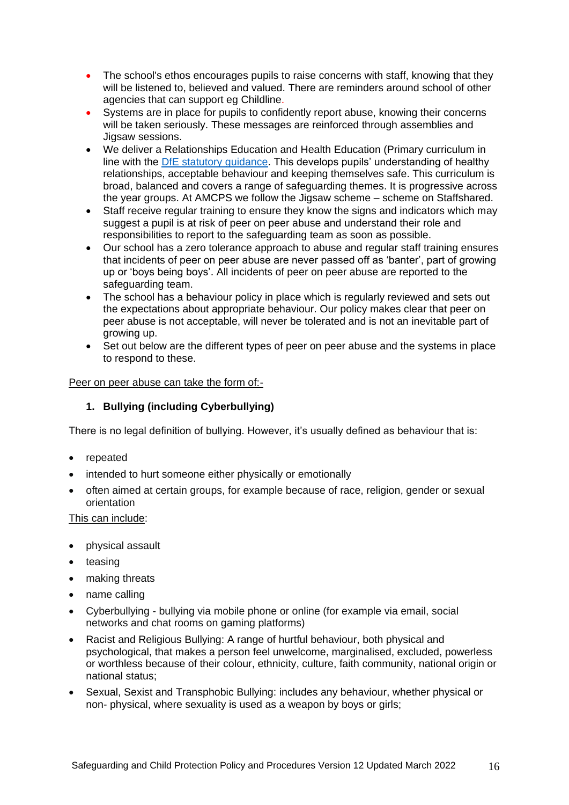- The school's ethos encourages pupils to raise concerns with staff, knowing that they will be listened to, believed and valued. There are reminders around school of other agencies that can support eg Childline.
- Systems are in place for pupils to confidently report abuse, knowing their concerns will be taken seriously. These messages are reinforced through assemblies and Jigsaw sessions.
- We deliver a Relationships Education and Health Education (Primary curriculum in line with the [DfE statutory guidance.](https://www.gov.uk/government/publications/relationships-education-relationships-and-sex-education-rse-and-health-education) This develops pupils' understanding of healthy relationships, acceptable behaviour and keeping themselves safe. This curriculum is broad, balanced and covers a range of safeguarding themes. It is progressive across the year groups. At AMCPS we follow the Jigsaw scheme – scheme on Staffshared.
- Staff receive regular training to ensure they know the signs and indicators which may suggest a pupil is at risk of peer on peer abuse and understand their role and responsibilities to report to the safeguarding team as soon as possible.
- Our school has a zero tolerance approach to abuse and regular staff training ensures that incidents of peer on peer abuse are never passed off as 'banter', part of growing up or 'boys being boys'. All incidents of peer on peer abuse are reported to the safeguarding team.
- The school has a behaviour policy in place which is regularly reviewed and sets out the expectations about appropriate behaviour. Our policy makes clear that peer on peer abuse is not acceptable, will never be tolerated and is not an inevitable part of growing up.
- Set out below are the different types of peer on peer abuse and the systems in place to respond to these.

## Peer on peer abuse can take the form of:-

# **1. Bullying (including Cyberbullying)**

There is no legal definition of bullying. However, it's usually defined as behaviour that is:

- repeated
- intended to hurt someone either physically or emotionally
- often aimed at certain groups, for example because of race, religion, gender or sexual orientation

## This can include:

- physical assault
- teasing
- making threats
- name calling
- Cyberbullying bullying via mobile phone or online (for example via email, social networks and chat rooms on gaming platforms)
- Racist and Religious Bullying: A range of hurtful behaviour, both physical and psychological, that makes a person feel unwelcome, marginalised, excluded, powerless or worthless because of their colour, ethnicity, culture, faith community, national origin or national status;
- Sexual, Sexist and Transphobic Bullying: includes any behaviour, whether physical or non- physical, where sexuality is used as a weapon by boys or girls;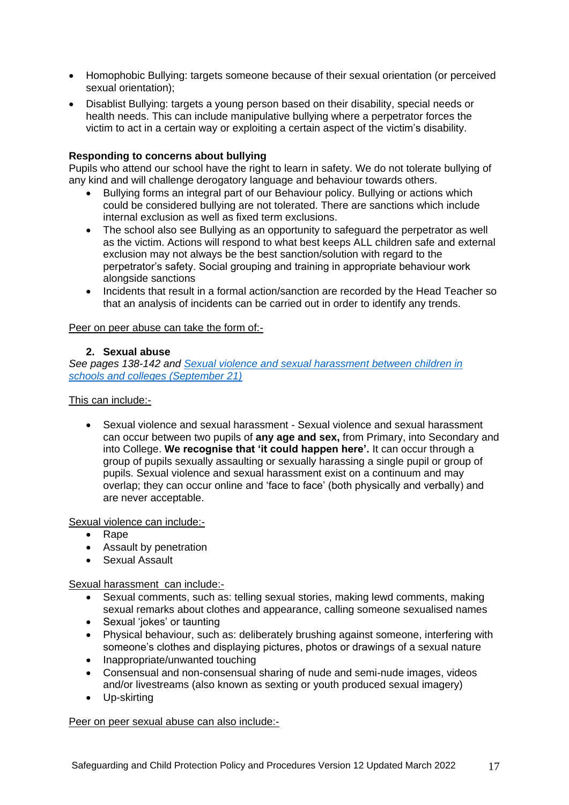- Homophobic Bullying: targets someone because of their sexual orientation (or perceived sexual orientation);
- Disablist Bullying: targets a young person based on their disability, special needs or health needs. This can include manipulative bullying where a perpetrator forces the victim to act in a certain way or exploiting a certain aspect of the victim's disability.

## **Responding to concerns about bullying**

Pupils who attend our school have the right to learn in safety. We do not tolerate bullying of any kind and will challenge derogatory language and behaviour towards others.

- Bullying forms an integral part of our Behaviour policy. Bullying or actions which could be considered bullying are not tolerated. There are sanctions which include internal exclusion as well as fixed term exclusions.
- The school also see Bullying as an opportunity to safeguard the perpetrator as well as the victim. Actions will respond to what best keeps ALL children safe and external exclusion may not always be the best sanction/solution with regard to the perpetrator's safety. Social grouping and training in appropriate behaviour work alongside sanctions
- Incidents that result in a formal action/sanction are recorded by the Head Teacher so that an analysis of incidents can be carried out in order to identify any trends.

## Peer on peer abuse can take the form of:-

## **2. Sexual abuse**

*See pages 138-142 and [Sexual violence and sexual harassment between children in](https://assets.publishing.service.gov.uk/government/uploads/system/uploads/attachment_data/file/999239/SVSH_2021.pdf)  [schools and colleges \(September 21\)](https://assets.publishing.service.gov.uk/government/uploads/system/uploads/attachment_data/file/999239/SVSH_2021.pdf)*

This can include:-

 Sexual violence and sexual harassment - Sexual violence and sexual harassment can occur between two pupils of **any age and sex,** from Primary, into Secondary and into College. **We recognise that 'it could happen here'.** It can occur through a group of pupils sexually assaulting or sexually harassing a single pupil or group of pupils. Sexual violence and sexual harassment exist on a continuum and may overlap; they can occur online and 'face to face' (both physically and verbally) and are never acceptable.

Sexual violence can include:-

- Rape
- Assault by penetration
- Sexual Assault

Sexual harassment can include:-

- Sexual comments, such as: telling sexual stories, making lewd comments, making sexual remarks about clothes and appearance, calling someone sexualised names
- Sexual 'jokes' or taunting
- Physical behaviour, such as: deliberately brushing against someone, interfering with someone's clothes and displaying pictures, photos or drawings of a sexual nature
- Inappropriate/unwanted touching
- Consensual and non-consensual sharing of nude and semi-nude images, videos and/or livestreams (also known as sexting or youth produced sexual imagery)
- Up-skirting

Peer on peer sexual abuse can also include:-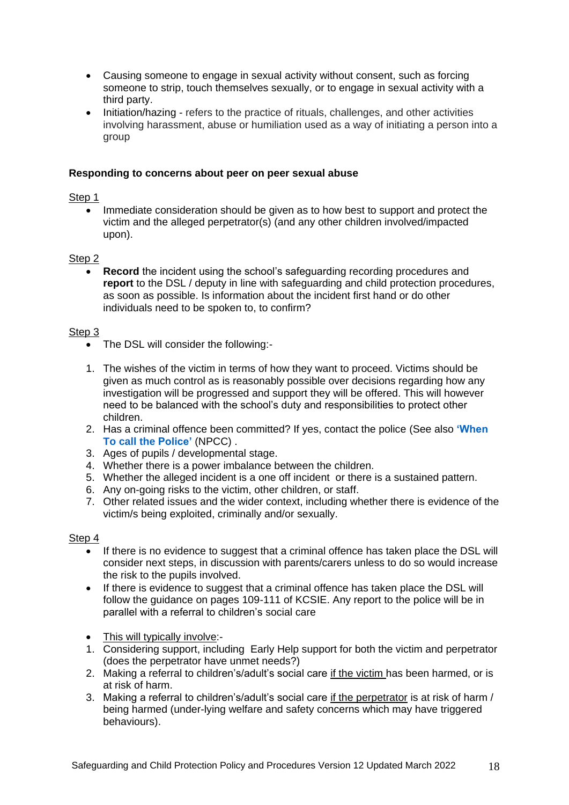- Causing someone to engage in sexual activity without consent, such as forcing someone to strip, touch themselves sexually, or to engage in sexual activity with a third party.
- Initiation/hazing refers to the practice of rituals, challenges, and other activities involving harassment, abuse or humiliation used as a way of initiating a person into a group

## **Responding to concerns about peer on peer sexual abuse**

Step 1

• Immediate consideration should be given as to how best to support and protect the victim and the alleged perpetrator(s) (and any other children involved/impacted upon).

## Step<sub>2</sub>

 **Record** the incident using the school's safeguarding recording procedures and **report** to the DSL / deputy in line with safeguarding and child protection procedures, as soon as possible. Is information about the incident first hand or do other individuals need to be spoken to, to confirm?

## Step 3

- The DSL will consider the following:-
- 1. The wishes of the victim in terms of how they want to proceed. Victims should be given as much control as is reasonably possible over decisions regarding how any investigation will be progressed and support they will be offered. This will however need to be balanced with the school's duty and responsibilities to protect other children.
- 2. Has a criminal offence been committed? If yes, contact the police (See also **['When](https://www.npcc.police.uk/documents/Children%20and%20Young%20people/When%20to%20call%20the%20police%20guidance%20for%20schools%20and%20colleges.pdf)  [To call the](https://www.npcc.police.uk/documents/Children%20and%20Young%20people/When%20to%20call%20the%20police%20guidance%20for%20schools%20and%20colleges.pdf) Police'** (NPCC) .
- 3. Ages of pupils / developmental stage.
- 4. Whether there is a power imbalance between the children.
- 5. Whether the alleged incident is a one off incident or there is a sustained pattern.
- 6. Any on-going risks to the victim, other children, or staff.
- 7. Other related issues and the wider context, including whether there is evidence of the victim/s being exploited, criminally and/or sexually.

#### Step 4

- If there is no evidence to suggest that a criminal offence has taken place the DSL will consider next steps, in discussion with parents/carers unless to do so would increase the risk to the pupils involved.
- If there is evidence to suggest that a criminal offence has taken place the DSL will follow the guidance on pages 109-111 of KCSIE. Any report to the police will be in parallel with a referral to children's social care
- This will typically involve:-
- 1. Considering support, including Early Help support for both the victim and perpetrator (does the perpetrator have unmet needs?)
- 2. Making a referral to children's/adult's social care if the victim has been harmed, or is at risk of harm.
- 3. Making a referral to children's/adult's social care if the perpetrator is at risk of harm / being harmed (under-lying welfare and safety concerns which may have triggered behaviours).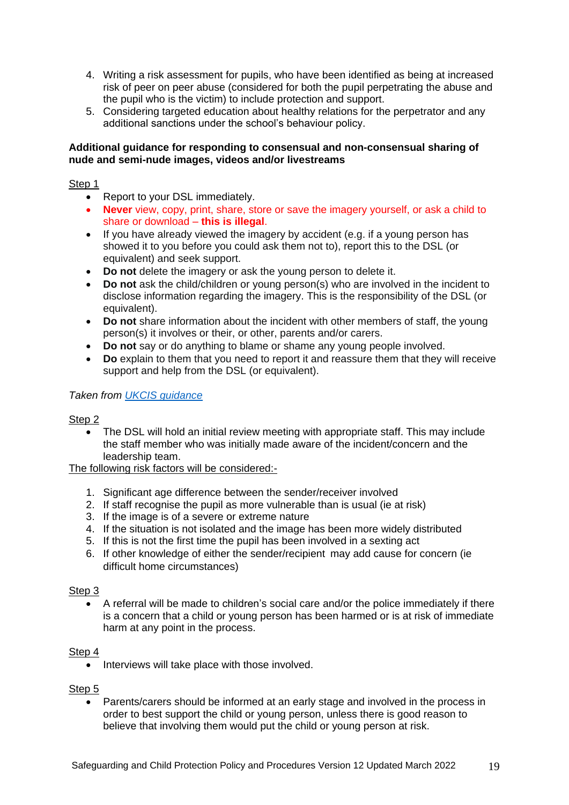- 4. Writing a risk assessment for pupils, who have been identified as being at increased risk of peer on peer abuse (considered for both the pupil perpetrating the abuse and the pupil who is the victim) to include protection and support.
- 5. Considering targeted education about healthy relations for the perpetrator and any additional sanctions under the school's behaviour policy.

## **Additional guidance for responding to consensual and non-consensual sharing of nude and semi-nude images, videos and/or livestreams**

Step 1

- Report to your DSL immediately.
- **Never** view, copy, print, share, store or save the imagery yourself, or ask a child to share or download – **this is illegal**.
- If you have already viewed the imagery by accident (e.g. if a young person has showed it to you before you could ask them not to), report this to the DSL (or equivalent) and seek support.
- **Do not** delete the imagery or ask the young person to delete it.
- **Do not** ask the child/children or young person(s) who are involved in the incident to disclose information regarding the imagery. This is the responsibility of the DSL (or equivalent).
- **Do not** share information about the incident with other members of staff, the young person(s) it involves or their, or other, parents and/or carers.
- **Do not** say or do anything to blame or shame any young people involved.
- **Do** explain to them that you need to report it and reassure them that they will receive support and help from the DSL (or equivalent).

*Taken from [UKCIS guidance](https://www.gov.uk/government/publications/sharing-nudes-and-semi-nudes-advice-for-education-settings-working-with-children-and-young-people)*

## Step 2

 The DSL will hold an initial review meeting with appropriate staff. This may include the staff member who was initially made aware of the incident/concern and the leadership team.

The following risk factors will be considered:-

- 1. Significant age difference between the sender/receiver involved
- 2. If staff recognise the pupil as more vulnerable than is usual (ie at risk)
- 3. If the image is of a severe or extreme nature
- 4. If the situation is not isolated and the image has been more widely distributed
- 5. If this is not the first time the pupil has been involved in a sexting act
- 6. If other knowledge of either the sender/recipient may add cause for concern (ie difficult home circumstances)

## Step 3

 A referral will be made to children's social care and/or the police immediately if there is a concern that a child or young person has been harmed or is at risk of immediate harm at any point in the process.

## Step 4

• Interviews will take place with those involved.

#### Step<sub>5</sub>

 Parents/carers should be informed at an early stage and involved in the process in order to best support the child or young person, unless there is good reason to believe that involving them would put the child or young person at risk.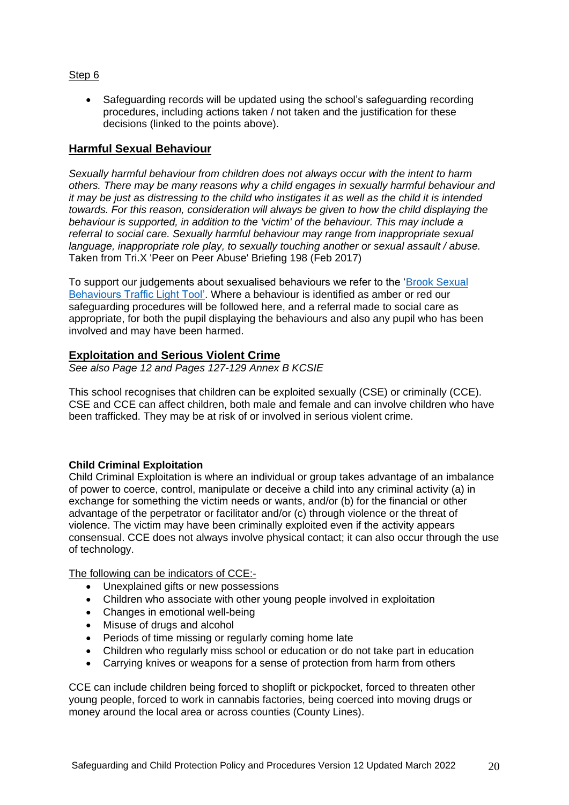## Step 6

 Safeguarding records will be updated using the school's safeguarding recording procedures, including actions taken / not taken and the justification for these decisions (linked to the points above).

## **Harmful Sexual Behaviour**

*Sexually harmful behaviour from children does not always occur with the intent to harm others. There may be many reasons why a child engages in sexually harmful behaviour and it may be just as distressing to the child who instigates it as well as the child it is intended towards. For this reason, consideration will always be given to how the child displaying the behaviour is supported, in addition to the 'victim' of the behaviour. This may include a referral to social care. Sexually harmful behaviour may range from inappropriate sexual language, inappropriate role play, to sexually touching another or sexual assault / abuse.*  Taken from Tri.X 'Peer on Peer Abuse' Briefing 198 (Feb 2017)

To support our judgements about sexualised behaviours we refer to the ['Brook Sexual](https://www.brook.org.uk/training/wider-professional-training/sexual-behaviours-traffic-light-tool/)  [Behaviours Traffic Light Tool'.](https://www.brook.org.uk/training/wider-professional-training/sexual-behaviours-traffic-light-tool/) Where a behaviour is identified as amber or red our safeguarding procedures will be followed here, and a referral made to social care as appropriate, for both the pupil displaying the behaviours and also any pupil who has been involved and may have been harmed.

## **Exploitation and Serious Violent Crime**

*See also Page 12 and Pages 127-129 Annex B KCSIE*

This school recognises that children can be exploited sexually (CSE) or criminally (CCE). CSE and CCE can affect children, both male and female and can involve children who have been trafficked. They may be at risk of or involved in serious violent crime.

## **Child Criminal Exploitation**

Child Criminal Exploitation is where an individual or group takes advantage of an imbalance of power to coerce, control, manipulate or deceive a child into any criminal activity (a) in exchange for something the victim needs or wants, and/or (b) for the financial or other advantage of the perpetrator or facilitator and/or (c) through violence or the threat of violence. The victim may have been criminally exploited even if the activity appears consensual. CCE does not always involve physical contact; it can also occur through the use of technology.

The following can be indicators of CCE:-

- Unexplained gifts or new possessions
- Children who associate with other young people involved in exploitation
- Changes in emotional well-being
- Misuse of drugs and alcohol
- Periods of time missing or regularly coming home late
- Children who regularly miss school or education or do not take part in education
- Carrying knives or weapons for a sense of protection from harm from others

CCE can include children being forced to shoplift or pickpocket, forced to threaten other young people, forced to work in cannabis factories, being coerced into moving drugs or money around the local area or across counties (County Lines).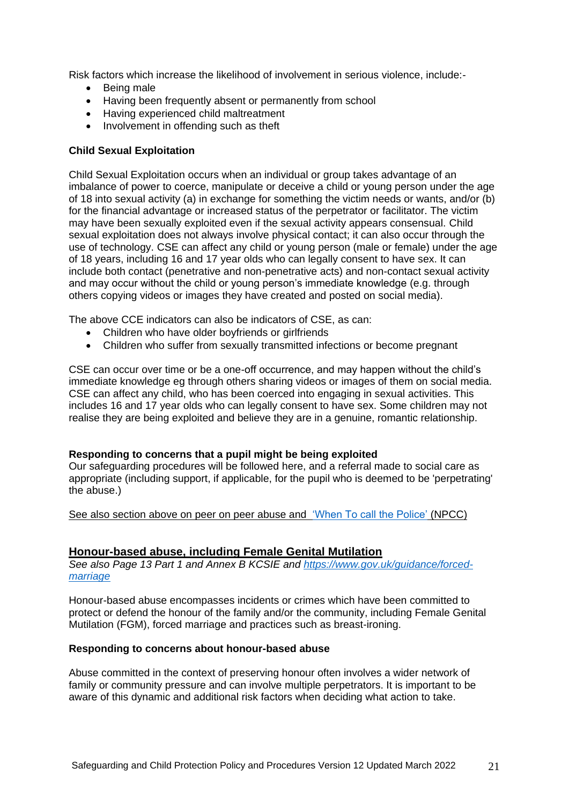Risk factors which increase the likelihood of involvement in serious violence, include:-

- Being male
- Having been frequently absent or permanently from school
- Having experienced child maltreatment
- Involvement in offending such as theft

## **Child Sexual Exploitation**

Child Sexual Exploitation occurs when an individual or group takes advantage of an imbalance of power to coerce, manipulate or deceive a child or young person under the age of 18 into sexual activity (a) in exchange for something the victim needs or wants, and/or (b) for the financial advantage or increased status of the perpetrator or facilitator. The victim may have been sexually exploited even if the sexual activity appears consensual. Child sexual exploitation does not always involve physical contact; it can also occur through the use of technology. CSE can affect any child or young person (male or female) under the age of 18 years, including 16 and 17 year olds who can legally consent to have sex. It can include both contact (penetrative and non-penetrative acts) and non-contact sexual activity and may occur without the child or young person's immediate knowledge (e.g. through others copying videos or images they have created and posted on social media).

The above CCE indicators can also be indicators of CSE, as can:

- Children who have older boyfriends or girlfriends
- Children who suffer from sexually transmitted infections or become pregnant

CSE can occur over time or be a one-off occurrence, and may happen without the child's immediate knowledge eg through others sharing videos or images of them on social media. CSE can affect any child, who has been coerced into engaging in sexual activities. This includes 16 and 17 year olds who can legally consent to have sex. Some children may not realise they are being exploited and believe they are in a genuine, romantic relationship.

#### **Responding to concerns that a pupil might be being exploited**

Our safeguarding procedures will be followed here, and a referral made to social care as appropriate (including support, if applicable, for the pupil who is deemed to be 'perpetrating' the abuse.)

See also section above on peer on peer abuse and ['When To call the Police'](https://www.npcc.police.uk/documents/Children%20and%20Young%20people/When%20to%20call%20the%20police%20guidance%20for%20schools%20and%20colleges.pdf) (NPCC)

#### **Honour-based abuse, including Female Genital Mutilation**

*See also Page 13 Part 1 and Annex B KCSIE and [https://www.gov.uk/guidance/forced](https://www.gov.uk/guidance/forced-marriage)[marriage](https://www.gov.uk/guidance/forced-marriage)*

Honour-based abuse encompasses incidents or crimes which have been committed to protect or defend the honour of the family and/or the community, including Female Genital Mutilation (FGM), forced marriage and practices such as breast-ironing.

#### **Responding to concerns about honour-based abuse**

Abuse committed in the context of preserving honour often involves a wider network of family or community pressure and can involve multiple perpetrators. It is important to be aware of this dynamic and additional risk factors when deciding what action to take.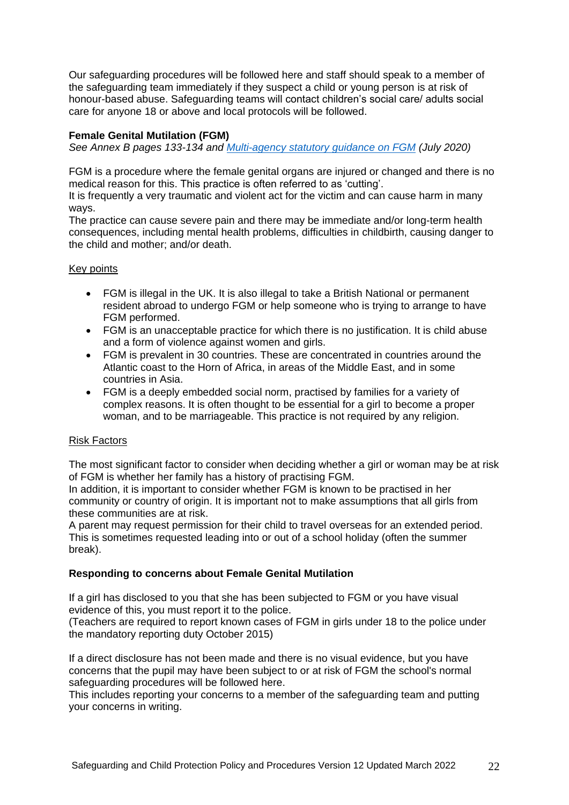Our safeguarding procedures will be followed here and staff should speak to a member of the safeguarding team immediately if they suspect a child or young person is at risk of honour-based abuse. Safeguarding teams will contact children's social care/ adults social care for anyone 18 or above and local protocols will be followed.

## **Female Genital Mutilation (FGM)**

*See Annex B pages 133-134 and [Multi-agency statutory guidance on FGM](https://www.gov.uk/government/publications/multi-agency-statutory-guidance-on-female-genital-mutilation) (July 2020)*

FGM is a procedure where the female genital organs are injured or changed and there is no medical reason for this. This practice is often referred to as 'cutting'.

It is frequently a very traumatic and violent act for the victim and can cause harm in many ways.

The practice can cause severe pain and there may be immediate and/or long-term health consequences, including mental health problems, difficulties in childbirth, causing danger to the child and mother; and/or death.

## Key points

- FGM is illegal in the UK. It is also illegal to take a British National or permanent resident abroad to undergo FGM or help someone who is trying to arrange to have FGM performed.
- FGM is an unacceptable practice for which there is no justification. It is child abuse and a form of violence against women and girls.
- FGM is prevalent in 30 countries. These are concentrated in countries around the Atlantic coast to the Horn of Africa, in areas of the Middle East, and in some countries in Asia.
- FGM is a deeply embedded social norm, practised by families for a variety of complex reasons. It is often thought to be essential for a girl to become a proper woman, and to be marriageable. This practice is not required by any religion.

## Risk Factors

The most significant factor to consider when deciding whether a girl or woman may be at risk of FGM is whether her family has a history of practising FGM.

In addition, it is important to consider whether FGM is known to be practised in her community or country of origin. It is important not to make assumptions that all girls from these communities are at risk.

A parent may request permission for their child to travel overseas for an extended period. This is sometimes requested leading into or out of a school holiday (often the summer break).

## **Responding to concerns about Female Genital Mutilation**

If a girl has disclosed to you that she has been subjected to FGM or you have visual evidence of this, you must report it to the police.

(Teachers are required to report known cases of FGM in girls under 18 to the police under the mandatory reporting duty October 2015)

If a direct disclosure has not been made and there is no visual evidence, but you have concerns that the pupil may have been subject to or at risk of FGM the school's normal safeguarding procedures will be followed here.

This includes reporting your concerns to a member of the safeguarding team and putting your concerns in writing.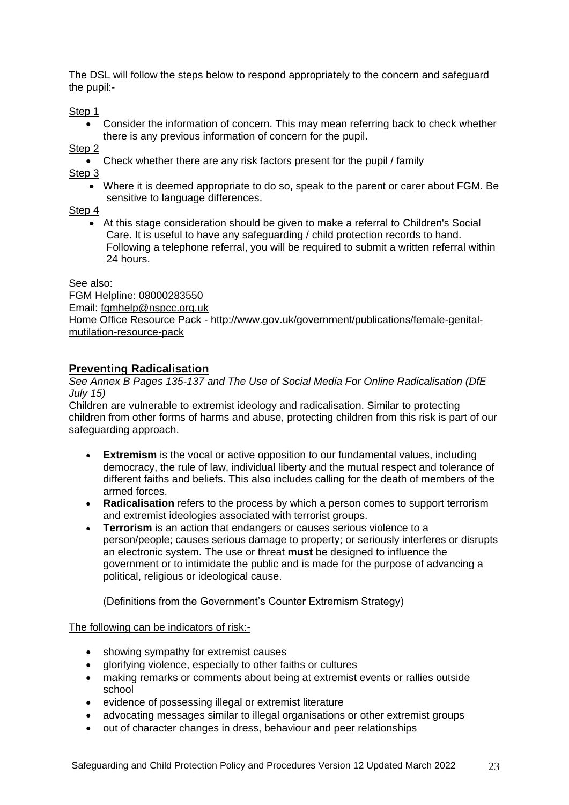The DSL will follow the steps below to respond appropriately to the concern and safeguard the pupil:-

Step 1

 Consider the information of concern. This may mean referring back to check whether there is any previous information of concern for the pupil.

Step<sub>2</sub>

Check whether there are any risk factors present for the pupil / family

Step 3

 Where it is deemed appropriate to do so, speak to the parent or carer about FGM. Be sensitive to language differences.

Step 4

 At this stage consideration should be given to make a referral to Children's Social Care. It is useful to have any safeguarding / child protection records to hand. Following a telephone referral, you will be required to submit a written referral within 24 hours.

See also:

FGM Helpline: 08000283550 Email: [fgmhelp@nspcc.org.uk](mailto:fgmhelp@nspcc.org.uk) Home Office Resource Pack - [http://www.gov.uk/government/publications/female-genital](http://www.gov.uk/government/publications/female-genital-mutilation-resource-pack)[mutilation-resource-pack](http://www.gov.uk/government/publications/female-genital-mutilation-resource-pack)

# **Preventing Radicalisation**

*See Annex B Pages 135-137 and [The Use of Social Media For Online Radicalisation \(DfE](https://www.gov.uk/government/publications/the-use-of-social-media-for-online-radicalisation)  [July 15\)](https://www.gov.uk/government/publications/the-use-of-social-media-for-online-radicalisation)*

Children are vulnerable to extremist ideology and radicalisation. Similar to protecting children from other forms of harms and abuse, protecting children from this risk is part of our safeguarding approach.

- **Extremism** is the vocal or active opposition to our fundamental values, including democracy, the rule of law, individual liberty and the mutual respect and tolerance of different faiths and beliefs. This also includes calling for the death of members of the armed forces.
- **Radicalisation** refers to the process by which a person comes to support terrorism and extremist ideologies associated with terrorist groups.
- **Terrorism** is an action that endangers or causes serious violence to a person/people; causes serious damage to property; or seriously interferes or disrupts an electronic system. The use or threat **must** be designed to influence the government or to intimidate the public and is made for the purpose of advancing a political, religious or ideological cause.

(Definitions from the Government's Counter Extremism Strategy)

The following can be indicators of risk:-

- showing sympathy for extremist causes
- alorifying violence, especially to other faiths or cultures
- making remarks or comments about being at extremist events or rallies outside school
- evidence of possessing illegal or extremist literature
- advocating messages similar to illegal organisations or other extremist groups
- out of character changes in dress, behaviour and peer relationships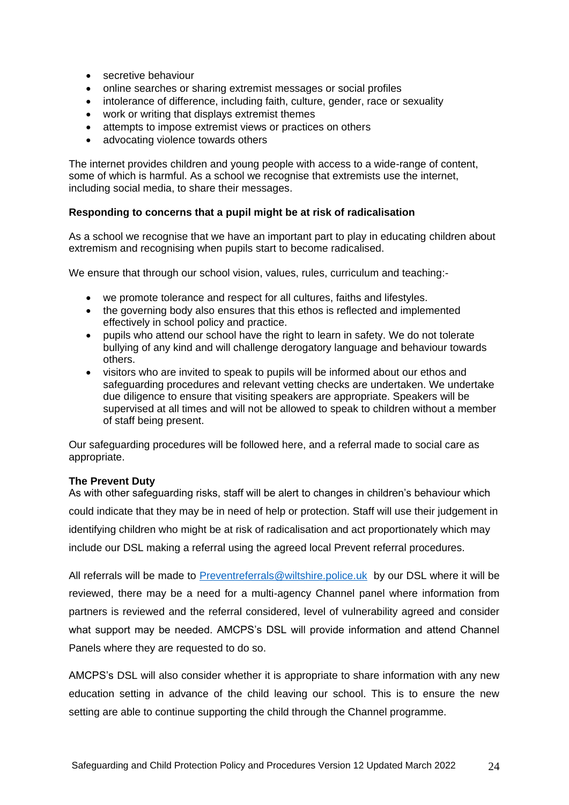- secretive behaviour
- online searches or sharing extremist messages or social profiles
- intolerance of difference, including faith, culture, gender, race or sexuality
- work or writing that displays extremist themes
- attempts to impose extremist views or practices on others
- advocating violence towards others

The internet provides children and young people with access to a wide-range of content, some of which is harmful. As a school we recognise that extremists use the internet, including social media, to share their messages.

## **Responding to concerns that a pupil might be at risk of radicalisation**

As a school we recognise that we have an important part to play in educating children about extremism and recognising when pupils start to become radicalised.

We ensure that through our school vision, values, rules, curriculum and teaching:-

- we promote tolerance and respect for all cultures, faiths and lifestyles.
- the governing body also ensures that this ethos is reflected and implemented effectively in school policy and practice.
- pupils who attend our school have the right to learn in safety. We do not tolerate bullying of any kind and will challenge derogatory language and behaviour towards others.
- visitors who are invited to speak to pupils will be informed about our ethos and safeguarding procedures and relevant vetting checks are undertaken. We undertake due diligence to ensure that visiting speakers are appropriate. Speakers will be supervised at all times and will not be allowed to speak to children without a member of staff being present.

Our safeguarding procedures will be followed here, and a referral made to social care as appropriate.

#### **The Prevent Duty**

As with other safeguarding risks, staff will be alert to changes in children's behaviour which could indicate that they may be in need of help or protection. Staff will use their judgement in identifying children who might be at risk of radicalisation and act proportionately which may include our DSL making a referral using the agreed local Prevent referral procedures.

All referrals will be made to [Preventreferrals@wiltshire.police.uk](mailto:Preventreferrals@wiltshire.police.uk) by our DSL where it will be reviewed, there may be a need for a multi-agency Channel panel where information from partners is reviewed and the referral considered, level of vulnerability agreed and consider what support may be needed. AMCPS's DSL will provide information and attend Channel Panels where they are requested to do so.

AMCPS's DSL will also consider whether it is appropriate to share information with any new education setting in advance of the child leaving our school. This is to ensure the new setting are able to continue supporting the child through the Channel programme.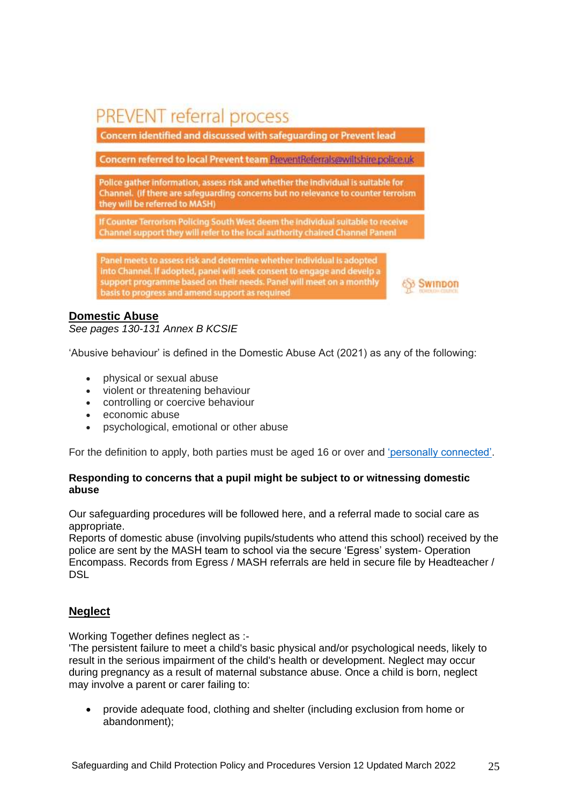# **PREVENT referral process**

Concern identified and discussed with safeguarding or Prevent lead

Concern referred to local Prevent team PreventReferrals@wiltshire.police.uk

Police gather information, assess risk and whether the individual is suitable for Channel. (if there are safeguarding concerns but no relevance to counter terroism they will be referred to MASH)

If Counter Terrorism Policing South West deem the individual suitable to receive Channel support they will refer to the local authority chaired Channel Panenl

Panel meets to assess risk and determine whether individual is adopted into Channel, if adopted, panel will seek consent to engage and develp a support programme based on their needs. Panel will meet on a monthly basis to progress and amend support as required

# **Swindon**

# **Domestic Abuse**

*See pages 130-131 Annex B KCSIE*

'Abusive behaviour' is defined in the Domestic Abuse Act (2021) as any of the following:

- physical or sexual abuse
- violent or threatening behaviour
- controlling or coercive behaviour
- economic abuse
- psychological, emotional or other abuse

For the definition to apply, both parties must be aged 16 or over and ['personally connected'.](https://www.lawsociety.org.uk/topics/family-and-children/domestic-abuse-act-2021#definition-of-abuse)

## **Responding to concerns that a pupil might be subject to or witnessing domestic abuse**

Our safeguarding procedures will be followed here, and a referral made to social care as appropriate.

Reports of domestic abuse (involving pupils/students who attend this school) received by the police are sent by the MASH team to school via the secure 'Egress' system- Operation Encompass. Records from Egress / MASH referrals are held in secure file by Headteacher / DSL

# **Neglect**

Working Together defines neglect as :-

'The persistent failure to meet a child's basic physical and/or psychological needs, likely to result in the serious impairment of the child's health or development. Neglect may occur during pregnancy as a result of maternal substance abuse. Once a child is born, neglect may involve a parent or carer failing to:

 provide adequate food, clothing and shelter (including exclusion from home or abandonment);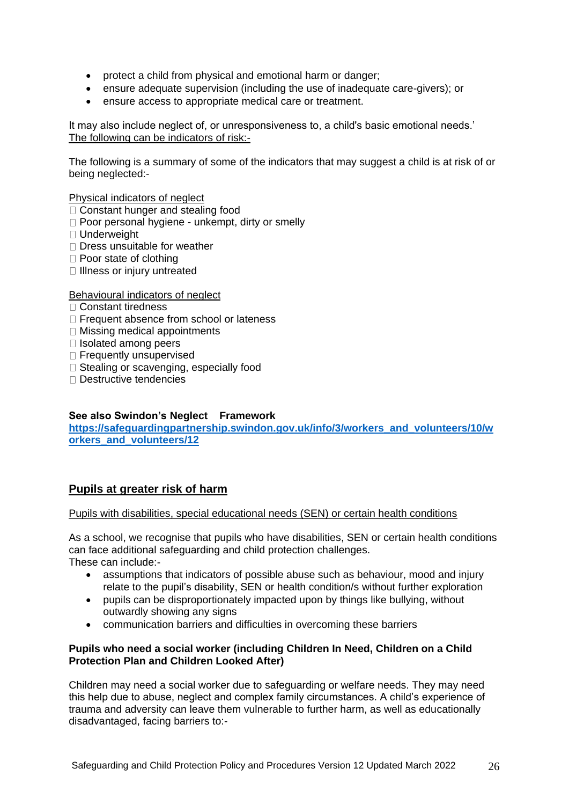- protect a child from physical and emotional harm or danger;
- ensure adequate supervision (including the use of inadequate care-givers); or
- ensure access to appropriate medical care or treatment.

It may also include neglect of, or unresponsiveness to, a child's basic emotional needs.' The following can be indicators of risk:-

The following is a summary of some of the indicators that may suggest a child is at risk of or being neglected:-

Physical indicators of neglect

- □ Constant hunger and stealing food
- □ Poor personal hygiene unkempt, dirty or smelly
- □ Underweight
- □ Dress unsuitable for weather
- □ Poor state of clothing
- $\Box$  Illness or injury untreated

## Behavioural indicators of neglect

- Constant tiredness
- □ Frequent absence from school or lateness
- □ Missing medical appointments
- $\Box$  Isolated among peers
- □ Frequently unsupervised
- $\Box$  Stealing or scavenging, especially food
- □ Destructive tendencies

## **See also Swindon's Neglect Framework**

**[https://safeguardingpartnership.swindon.gov.uk/info/3/workers\\_and\\_volunteers/10/w](https://safeguardingpartnership.swindon.gov.uk/info/3/workers_and_volunteers/10/workers_and_volunteers/12) [orkers\\_and\\_volunteers/12](https://safeguardingpartnership.swindon.gov.uk/info/3/workers_and_volunteers/10/workers_and_volunteers/12)**

# **Pupils at greater risk of harm**

#### Pupils with disabilities, special educational needs (SEN) or certain health conditions

As a school, we recognise that pupils who have disabilities, SEN or certain health conditions can face additional safeguarding and child protection challenges. These can include:-

- assumptions that indicators of possible abuse such as behaviour, mood and injury relate to the pupil's disability, SEN or health condition/s without further exploration
- pupils can be disproportionately impacted upon by things like bullying, without outwardly showing any signs
- communication barriers and difficulties in overcoming these barriers

## **Pupils who need a social worker (including Children In Need, Children on a Child Protection Plan and Children Looked After)**

Children may need a social worker due to safeguarding or welfare needs. They may need this help due to abuse, neglect and complex family circumstances. A child's experience of trauma and adversity can leave them vulnerable to further harm, as well as educationally disadvantaged, facing barriers to:-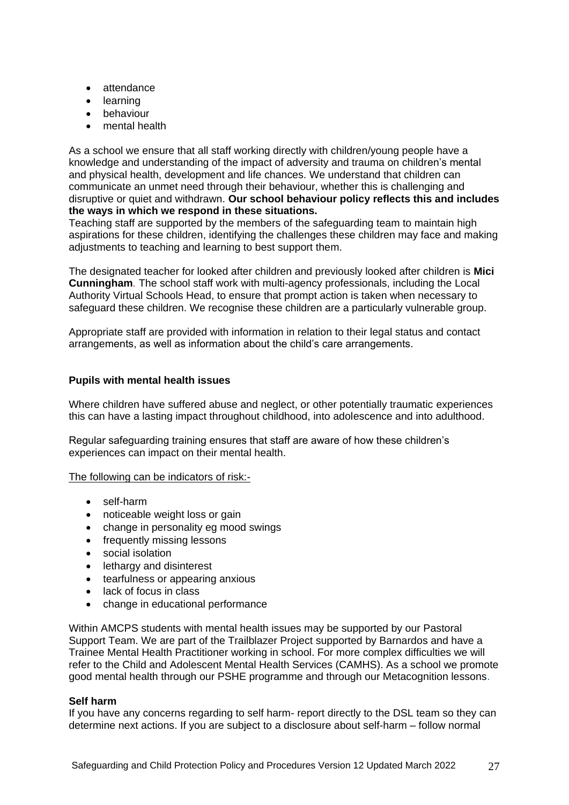- attendance
- learning
- behaviour
- mental health

As a school we ensure that all staff working directly with children/young people have a knowledge and understanding of the impact of adversity and trauma on children's mental and physical health, development and life chances. We understand that children can communicate an unmet need through their behaviour, whether this is challenging and disruptive or quiet and withdrawn. **Our school behaviour policy reflects this and includes the ways in which we respond in these situations.**

Teaching staff are supported by the members of the safeguarding team to maintain high aspirations for these children, identifying the challenges these children may face and making adjustments to teaching and learning to best support them.

The designated teacher for looked after children and previously looked after children is **Mici Cunningham***.* The school staff work with multi-agency professionals, including the Local Authority Virtual Schools Head, to ensure that prompt action is taken when necessary to safeguard these children. We recognise these children are a particularly vulnerable group.

Appropriate staff are provided with information in relation to their legal status and contact arrangements, as well as information about the child's care arrangements.

## **Pupils with mental health issues**

Where children have suffered abuse and neglect, or other potentially traumatic experiences this can have a lasting impact throughout childhood, into adolescence and into adulthood.

Regular safeguarding training ensures that staff are aware of how these children's experiences can impact on their mental health.

### The following can be indicators of risk:-

- self-harm
- noticeable weight loss or gain
- change in personality eg mood swings
- frequently missing lessons
- social isolation
- lethargy and disinterest
- tearfulness or appearing anxious
- lack of focus in class
- change in educational performance

Within AMCPS students with mental health issues may be supported by our Pastoral Support Team. We are part of the Trailblazer Project supported by Barnardos and have a Trainee Mental Health Practitioner working in school. For more complex difficulties we will refer to the Child and Adolescent Mental Health Services (CAMHS). As a school we promote good mental health through our PSHE programme and through our Metacognition lessons.

#### **Self harm**

If you have any concerns regarding to self harm- report directly to the DSL team so they can determine next actions. If you are subject to a disclosure about self-harm – follow normal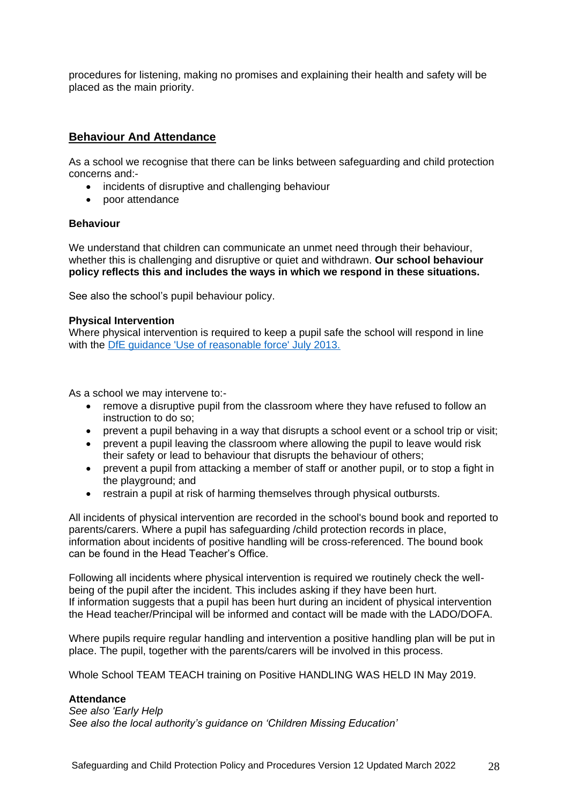procedures for listening, making no promises and explaining their health and safety will be placed as the main priority.

# **Behaviour And Attendance**

As a school we recognise that there can be links between safeguarding and child protection concerns and:-

- incidents of disruptive and challenging behaviour
- poor attendance

## **Behaviour**

We understand that children can communicate an unmet need through their behaviour, whether this is challenging and disruptive or quiet and withdrawn. **Our school behaviour policy reflects this and includes the ways in which we respond in these situations.**

See also the school's pupil behaviour policy.

## **Physical Intervention**

Where physical intervention is required to keep a pupil safe the school will respond in line with the [DfE guidance 'Use of reasonable force' July 2013.](https://www.gov.uk/government/publications/use-of-reasonable-force-in-schools)

As a school we may intervene to:-

- remove a disruptive pupil from the classroom where they have refused to follow an instruction to do so;
- prevent a pupil behaving in a way that disrupts a school event or a school trip or visit;
- prevent a pupil leaving the classroom where allowing the pupil to leave would risk their safety or lead to behaviour that disrupts the behaviour of others;
- prevent a pupil from attacking a member of staff or another pupil, or to stop a fight in the playground; and
- restrain a pupil at risk of harming themselves through physical outbursts.

All incidents of physical intervention are recorded in the school's bound book and reported to parents/carers. Where a pupil has safeguarding /child protection records in place, information about incidents of positive handling will be cross-referenced. The bound book can be found in the Head Teacher's Office.

Following all incidents where physical intervention is required we routinely check the wellbeing of the pupil after the incident. This includes asking if they have been hurt. If information suggests that a pupil has been hurt during an incident of physical intervention the Head teacher/Principal will be informed and contact will be made with the LADO/DOFA.

Where pupils require regular handling and intervention a positive handling plan will be put in place. The pupil, together with the parents/carers will be involved in this process.

Whole School TEAM TEACH training on Positive HANDLING WAS HELD IN May 2019.

## **Attendance**

*See also 'Early Help See also the local authority's guidance on 'Children Missing Education'*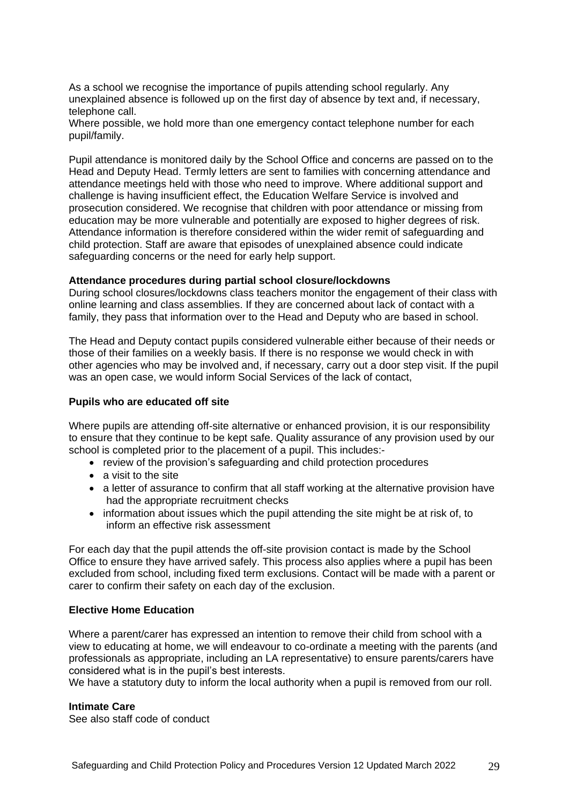As a school we recognise the importance of pupils attending school regularly. Any unexplained absence is followed up on the first day of absence by text and, if necessary, telephone call.

Where possible, we hold more than one emergency contact telephone number for each pupil/family.

Pupil attendance is monitored daily by the School Office and concerns are passed on to the Head and Deputy Head. Termly letters are sent to families with concerning attendance and attendance meetings held with those who need to improve. Where additional support and challenge is having insufficient effect, the Education Welfare Service is involved and prosecution considered. We recognise that children with poor attendance or missing from education may be more vulnerable and potentially are exposed to higher degrees of risk. Attendance information is therefore considered within the wider remit of safeguarding and child protection. Staff are aware that episodes of unexplained absence could indicate safeguarding concerns or the need for early help support.

#### **Attendance procedures during partial school closure/lockdowns**

During school closures/lockdowns class teachers monitor the engagement of their class with online learning and class assemblies. If they are concerned about lack of contact with a family, they pass that information over to the Head and Deputy who are based in school.

The Head and Deputy contact pupils considered vulnerable either because of their needs or those of their families on a weekly basis. If there is no response we would check in with other agencies who may be involved and, if necessary, carry out a door step visit. If the pupil was an open case, we would inform Social Services of the lack of contact,

## **Pupils who are educated off site**

Where pupils are attending off-site alternative or enhanced provision, it is our responsibility to ensure that they continue to be kept safe. Quality assurance of any provision used by our school is completed prior to the placement of a pupil. This includes:-

- review of the provision's safeguarding and child protection procedures
- a visit to the site
- a letter of assurance to confirm that all staff working at the alternative provision have had the appropriate recruitment checks
- information about issues which the pupil attending the site might be at risk of, to inform an effective risk assessment

For each day that the pupil attends the off-site provision contact is made by the School Office to ensure they have arrived safely. This process also applies where a pupil has been excluded from school, including fixed term exclusions. Contact will be made with a parent or carer to confirm their safety on each day of the exclusion.

#### **Elective Home Education**

Where a parent/carer has expressed an intention to remove their child from school with a view to educating at home, we will endeavour to co-ordinate a meeting with the parents (and professionals as appropriate, including an LA representative) to ensure parents/carers have considered what is in the pupil's best interests.

We have a statutory duty to inform the local authority when a pupil is removed from our roll.

#### **Intimate Care**

See also staff code of conduct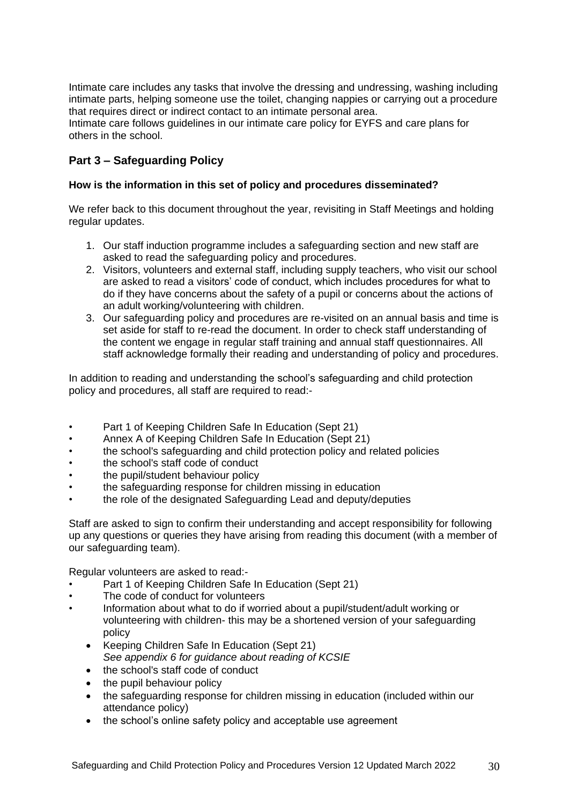Intimate care includes any tasks that involve the dressing and undressing, washing including intimate parts, helping someone use the toilet, changing nappies or carrying out a procedure that requires direct or indirect contact to an intimate personal area.

Intimate care follows guidelines in our intimate care policy for EYFS and care plans for others in the school.

# **Part 3 – Safeguarding Policy**

## **How is the information in this set of policy and procedures disseminated?**

We refer back to this document throughout the year, revisiting in Staff Meetings and holding regular updates.

- 1. Our staff induction programme includes a safeguarding section and new staff are asked to read the safeguarding policy and procedures.
- 2. Visitors, volunteers and external staff, including supply teachers, who visit our school are asked to read a visitors' code of conduct, which includes procedures for what to do if they have concerns about the safety of a pupil or concerns about the actions of an adult working/volunteering with children.
- 3. Our safeguarding policy and procedures are re-visited on an annual basis and time is set aside for staff to re-read the document. In order to check staff understanding of the content we engage in regular staff training and annual staff questionnaires. All staff acknowledge formally their reading and understanding of policy and procedures.

In addition to reading and understanding the school's safeguarding and child protection policy and procedures, all staff are required to read:-

- Part 1 of Keeping Children Safe In Education (Sept 21)
- Annex A of Keeping Children Safe In Education (Sept 21)
- the school's safeguarding and child protection policy and related policies
- the school's staff code of conduct
- the pupil/student behaviour policy
- the safeguarding response for children missing in education
- the role of the designated Safeguarding Lead and deputy/deputies

Staff are asked to sign to confirm their understanding and accept responsibility for following up any questions or queries they have arising from reading this document (with a member of our safeguarding team).

Regular volunteers are asked to read:-

- Part 1 of Keeping Children Safe In Education (Sept 21)
- The code of conduct for volunteers
- Information about what to do if worried about a pupil/student/adult working or volunteering with children- this may be a shortened version of your safeguarding policy
	- Keeping Children Safe In Education (Sept 21) *See appendix 6 for guidance about reading of KCSIE*
	- the school's staff code of conduct
	- the pupil behaviour policy
	- the safeguarding response for children missing in education (included within our attendance policy)
	- the school's online safety policy and acceptable use agreement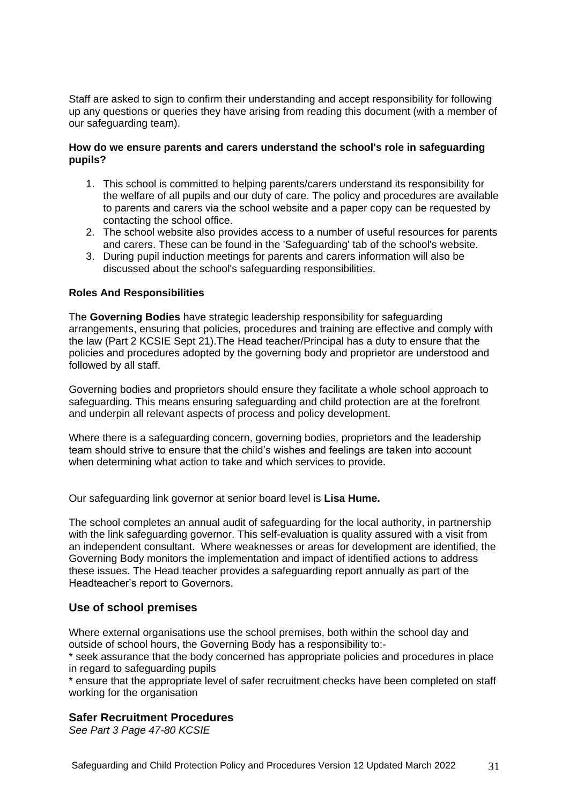Staff are asked to sign to confirm their understanding and accept responsibility for following up any questions or queries they have arising from reading this document (with a member of our safeguarding team).

## **How do we ensure parents and carers understand the school's role in safeguarding pupils?**

- 1. This school is committed to helping parents/carers understand its responsibility for the welfare of all pupils and our duty of care. The policy and procedures are available to parents and carers via the school website and a paper copy can be requested by contacting the school office.
- 2. The school website also provides access to a number of useful resources for parents and carers. These can be found in the 'Safeguarding' tab of the school's website.
- 3. During pupil induction meetings for parents and carers information will also be discussed about the school's safeguarding responsibilities.

## **Roles And Responsibilities**

The **Governing Bodies** have strategic leadership responsibility for safeguarding arrangements, ensuring that policies, procedures and training are effective and comply with the law (Part 2 KCSIE Sept 21).The Head teacher/Principal has a duty to ensure that the policies and procedures adopted by the governing body and proprietor are understood and followed by all staff.

Governing bodies and proprietors should ensure they facilitate a whole school approach to safeguarding. This means ensuring safeguarding and child protection are at the forefront and underpin all relevant aspects of process and policy development.

Where there is a safeguarding concern, governing bodies, proprietors and the leadership team should strive to ensure that the child's wishes and feelings are taken into account when determining what action to take and which services to provide.

Our safeguarding link governor at senior board level is **Lisa Hume.**

The school completes an annual audit of safeguarding for the local authority, in partnership with the link safeguarding governor. This self-evaluation is quality assured with a visit from an independent consultant. Where weaknesses or areas for development are identified, the Governing Body monitors the implementation and impact of identified actions to address these issues. The Head teacher provides a safeguarding report annually as part of the Headteacher's report to Governors.

## **Use of school premises**

Where external organisations use the school premises, both within the school day and outside of school hours, the Governing Body has a responsibility to:-

\* seek assurance that the body concerned has appropriate policies and procedures in place in regard to safeguarding pupils

\* ensure that the appropriate level of safer recruitment checks have been completed on staff working for the organisation

## **Safer Recruitment Procedures**

*See Part 3 Page 47-80 KCSIE*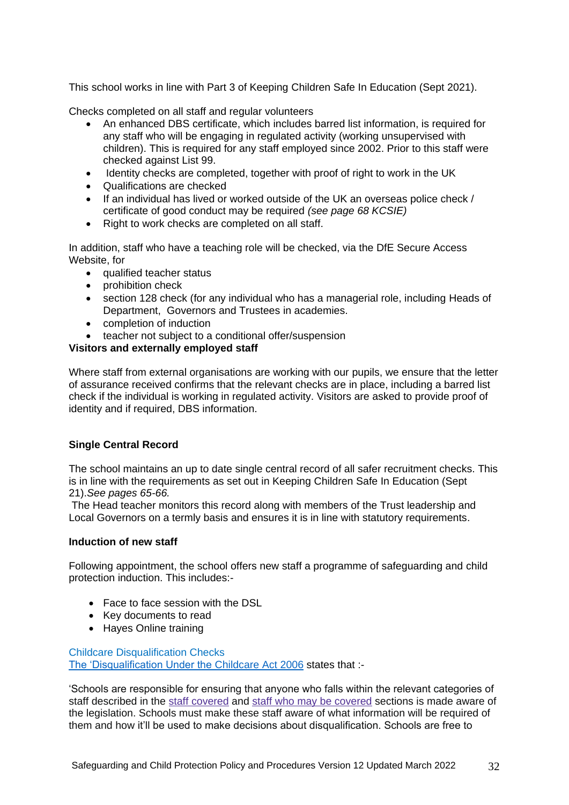This school works in line with Part 3 of Keeping Children Safe In Education (Sept 2021).

Checks completed on all staff and regular volunteers

- An enhanced DBS certificate, which includes barred list information, is required for any staff who will be engaging in regulated activity (working unsupervised with children). This is required for any staff employed since 2002. Prior to this staff were checked against List 99.
- Identity checks are completed, together with proof of right to work in the UK
- Qualifications are checked
- If an individual has lived or worked outside of the UK an overseas police check / certificate of good conduct may be required *(see page 68 KCSIE)*
- Right to work checks are completed on all staff.

In addition, staff who have a teaching role will be checked, via the DfE Secure Access Website, for

- qualified teacher status
- prohibition check
- section 128 check (for any individual who has a managerial role, including Heads of Department, Governors and Trustees in academies.
- completion of induction
- teacher not subject to a conditional offer/suspension

## **Visitors and externally employed staff**

Where staff from external organisations are working with our pupils, we ensure that the letter of assurance received confirms that the relevant checks are in place, including a barred list check if the individual is working in regulated activity. Visitors are asked to provide proof of identity and if required, DBS information.

## **Single Central Record**

The school maintains an up to date single central record of all safer recruitment checks. This is in line with the requirements as set out in Keeping Children Safe In Education (Sept 21).*See pages 65-66.*

The Head teacher monitors this record along with members of the Trust leadership and Local Governors on a termly basis and ensures it is in line with statutory requirements.

## **Induction of new staff**

Following appointment, the school offers new staff a programme of safeguarding and child protection induction. This includes:-

- Face to face session with the DSL
- Key documents to read
- Hayes Online training

Childcare Disqualification Checks [The 'Disqualification Under the Childcare](https://www.gov.uk/government/publications/disqualification-under-the-childcare-act-2006/disqualification-under-the-childcare-act-2006#staff-covered) Act 2006 states that :-

'Schools are responsible for ensuring that anyone who falls within the relevant categories of staff described in the staff [covered](https://www.gov.uk/government/publications/disqualification-under-the-childcare-act-2006/disqualification-under-the-childcare-act-2006#staff-covered) and staff who may be [covered](https://www.gov.uk/government/publications/disqualification-under-the-childcare-act-2006/disqualification-under-the-childcare-act-2006#staff-may-covered) sections is made aware of the legislation. Schools must make these staff aware of what information will be required of them and how it'll be used to make decisions about disqualification. Schools are free to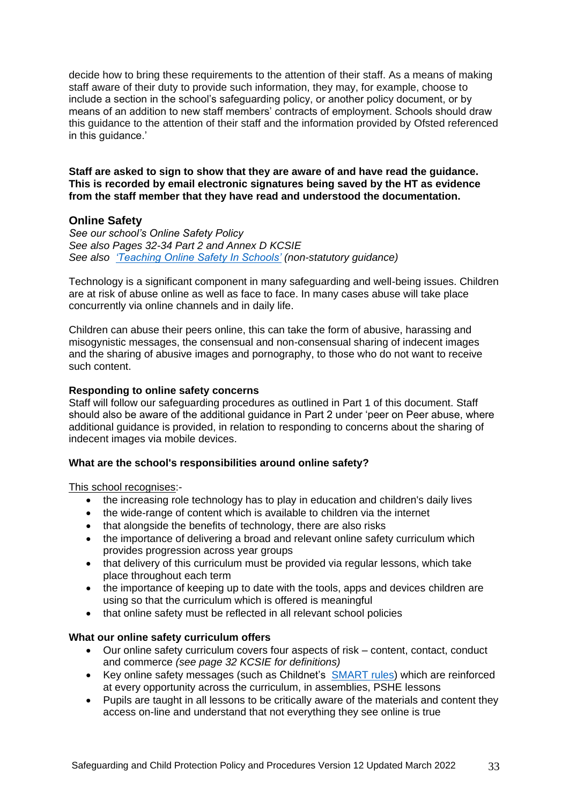decide how to bring these requirements to the attention of their staff. As a means of making staff aware of their duty to provide such information, they may, for example, choose to include a section in the school's safeguarding policy, or another policy document, or by means of an addition to new staff members' contracts of employment. Schools should draw this guidance to the attention of their staff and the information provided by Ofsted referenced in this guidance.'

**Staff are asked to sign to show that they are aware of and have read the guidance. This is recorded by email electronic signatures being saved by the HT as evidence from the staff member that they have read and understood the documentation.**

## **Online Safety**

*See our school's Online Safety Policy See also Pages 32-34 Part 2 and Annex D KCSIE See also ['Teaching Online Safety In Schools'](https://www.gov.uk/government/publications/teaching-online-safety-in-schools) (non-statutory guidance)*

Technology is a significant component in many safeguarding and well-being issues. Children are at risk of abuse online as well as face to face. In many cases abuse will take place concurrently via online channels and in daily life.

Children can abuse their peers online, this can take the form of abusive, harassing and misogynistic messages, the consensual and non-consensual sharing of indecent images and the sharing of abusive images and pornography, to those who do not want to receive such content.

## **Responding to online safety concerns**

Staff will follow our safeguarding procedures as outlined in Part 1 of this document. Staff should also be aware of the additional guidance in Part 2 under 'peer on Peer abuse, where additional guidance is provided, in relation to responding to concerns about the sharing of indecent images via mobile devices.

## **What are the school's responsibilities around online safety?**

This school recognises:-

- the increasing role technology has to play in education and children's daily lives
- the wide-range of content which is available to children via the internet
- that alongside the benefits of technology, there are also risks
- the importance of delivering a broad and relevant online safety curriculum which provides progression across year groups
- that delivery of this curriculum must be provided via regular lessons, which take place throughout each term
- the importance of keeping up to date with the tools, apps and devices children are using so that the curriculum which is offered is meaningful
- that online safety must be reflected in all relevant school policies

#### **What our online safety curriculum offers**

- Our online safety curriculum covers four aspects of risk content, contact, conduct and commerce *(see page 32 KCSIE for definitions)*
- Key online safety messages (such as Childnet's [SMART rules\)](https://www.childnet.com/resources/be-smart-online) which are reinforced at every opportunity across the curriculum, in assemblies, PSHE lessons
- Pupils are taught in all lessons to be critically aware of the materials and content they access on-line and understand that not everything they see online is true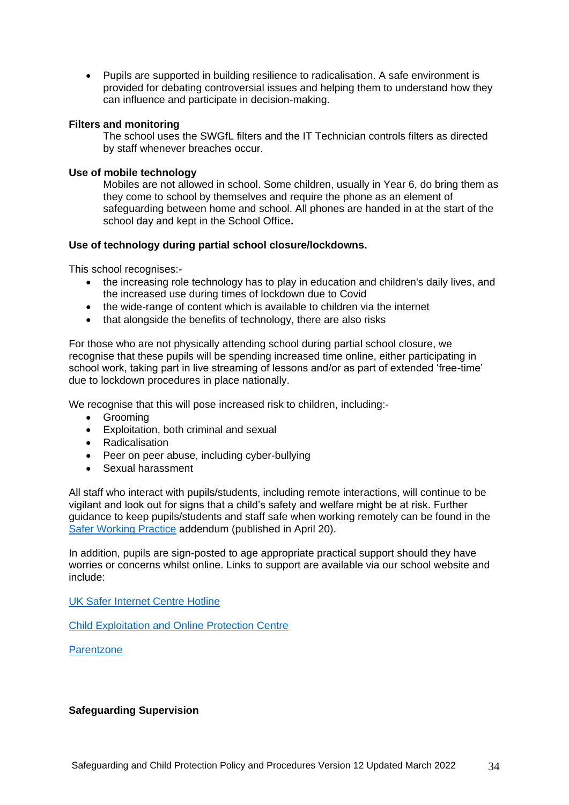Pupils are supported in building resilience to radicalisation. A safe environment is provided for debating controversial issues and helping them to understand how they can influence and participate in decision-making.

## **Filters and monitoring**

The school uses the SWGfL filters and the IT Technician controls filters as directed by staff whenever breaches occur.

#### **Use of mobile technology**

Mobiles are not allowed in school. Some children, usually in Year 6, do bring them as they come to school by themselves and require the phone as an element of safeguarding between home and school. All phones are handed in at the start of the school day and kept in the School Office**.**

## **Use of technology during partial school closure/lockdowns.**

This school recognises:-

- the increasing role technology has to play in education and children's daily lives, and the increased use during times of lockdown due to Covid
- the wide-range of content which is available to children via the internet
- that alongside the benefits of technology, there are also risks

For those who are not physically attending school during partial school closure, we recognise that these pupils will be spending increased time online, either participating in school work, taking part in live streaming of lessons and/or as part of extended 'free-time' due to lockdown procedures in place nationally.

We recognise that this will pose increased risk to children, including:-

- Grooming
- Exploitation, both criminal and sexual
- Radicalisation
- Peer on peer abuse, including cyber-bullying
- Sexual harassment

All staff who interact with pupils/students, including remote interactions, will continue to be vigilant and look out for signs that a child's safety and welfare might be at risk. Further guidance to keep pupils/students and staff safe when working remotely can be found in the [Safer Working Practice](https://www.saferrecruitmentconsortium.org/GSWP%20COVID%20addendum%20April%202020%20final-1.pdf) addendum (published in April 20).

In addition, pupils are sign-posted to age appropriate practical support should they have worries or concerns whilst online. Links to support are available via our school website and include:

[UK Safer Internet Centre Hotline](https://www.saferinternet.org.uk/hotline)

[Child Exploitation and Online Protection Centre](https://www.ceop.police.uk/safety-centre/)

**[Parentzone](https://parentzone.org.uk/home)** 

#### **Safeguarding Supervision**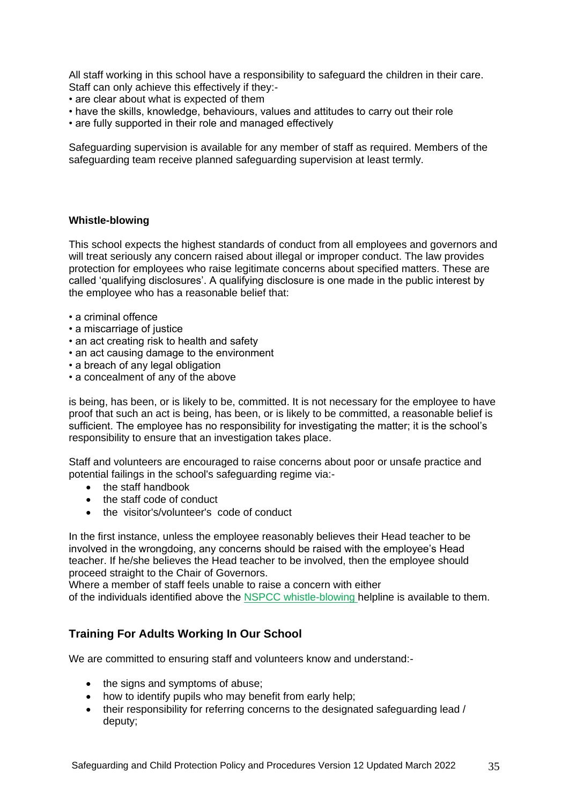All staff working in this school have a responsibility to safeguard the children in their care. Staff can only achieve this effectively if they:-

- are clear about what is expected of them
- have the skills, knowledge, behaviours, values and attitudes to carry out their role
- are fully supported in their role and managed effectively

Safeguarding supervision is available for any member of staff as required. Members of the safeguarding team receive planned safeguarding supervision at least termly.

## **Whistle-blowing**

This school expects the highest standards of conduct from all employees and governors and will treat seriously any concern raised about illegal or improper conduct. The law provides protection for employees who raise legitimate concerns about specified matters. These are called 'qualifying disclosures'. A qualifying disclosure is one made in the public interest by the employee who has a reasonable belief that:

- a criminal offence
- a miscarriage of justice
- an act creating risk to health and safety
- an act causing damage to the environment
- a breach of any legal obligation
- a concealment of any of the above

is being, has been, or is likely to be, committed. It is not necessary for the employee to have proof that such an act is being, has been, or is likely to be committed, a reasonable belief is sufficient. The employee has no responsibility for investigating the matter; it is the school's responsibility to ensure that an investigation takes place.

Staff and volunteers are encouraged to raise concerns about poor or unsafe practice and potential failings in the school's safeguarding regime via:-

- the staff handbook
- the staff code of conduct
- the visitor's/volunteer's code of conduct

In the first instance, unless the employee reasonably believes their Head teacher to be involved in the wrongdoing, any concerns should be raised with the employee's Head teacher. If he/she believes the Head teacher to be involved, then the employee should proceed straight to the Chair of Governors.

Where a member of staff feels unable to raise a concern with either

of the individuals identified above the NSPCC whistle-blowing [helpline is available to them.](https://www.nspcc.org.uk/what-you-can-do/report-abuse/dedicated-helplines/whistleblowing-advice-line/)

# **Training For Adults Working In Our School**

We are committed to ensuring staff and volunteers know and understand:-

- the signs and symptoms of abuse;
- how to identify pupils who may benefit from early help;
- their responsibility for referring concerns to the designated safeguarding lead / deputy;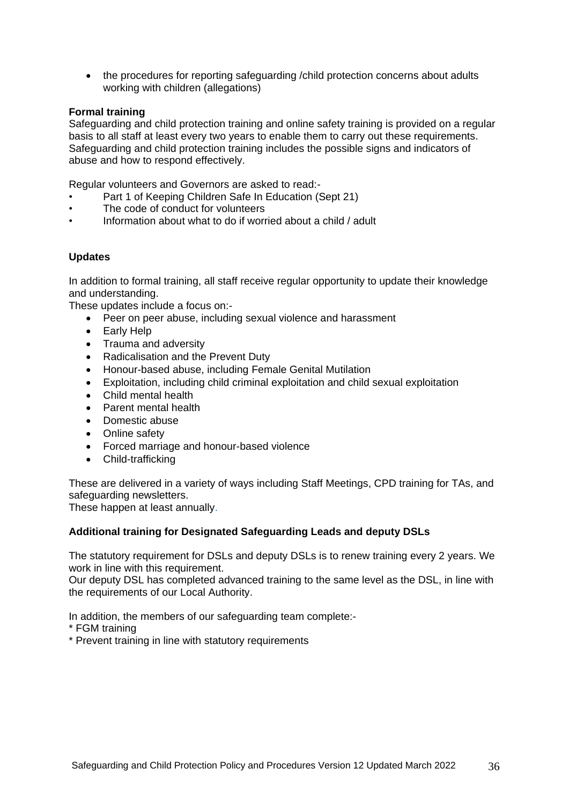• the procedures for reporting safeguarding /child protection concerns about adults working with children (allegations)

## **Formal training**

Safeguarding and child protection training and online safety training is provided on a regular basis to all staff at least every two years to enable them to carry out these requirements. Safeguarding and child protection training includes the possible signs and indicators of abuse and how to respond effectively.

Regular volunteers and Governors are asked to read:-

- Part 1 of Keeping Children Safe In Education (Sept 21)
- The code of conduct for volunteers
- Information about what to do if worried about a child / adult

## **Updates**

In addition to formal training, all staff receive regular opportunity to update their knowledge and understanding.

These updates include a focus on:-

- Peer on peer abuse, including sexual violence and harassment
- Early Help
- Trauma and adversity
- Radicalisation and the Prevent Duty
- Honour-based abuse, including Female Genital Mutilation
- Exploitation, including child criminal exploitation and child sexual exploitation
- Child mental health
- Parent mental health
- Domestic abuse
- Online safety
- Forced marriage and honour-based violence
- Child-trafficking

These are delivered in a variety of ways including Staff Meetings, CPD training for TAs, and safeguarding newsletters.

These happen at least annually.

#### **Additional training for Designated Safeguarding Leads and deputy DSLs**

The statutory requirement for DSLs and deputy DSLs is to renew training every 2 years. We work in line with this requirement.

Our deputy DSL has completed advanced training to the same level as the DSL, in line with the requirements of our Local Authority.

In addition, the members of our safeguarding team complete:-

- \* FGM training
- \* Prevent training in line with statutory requirements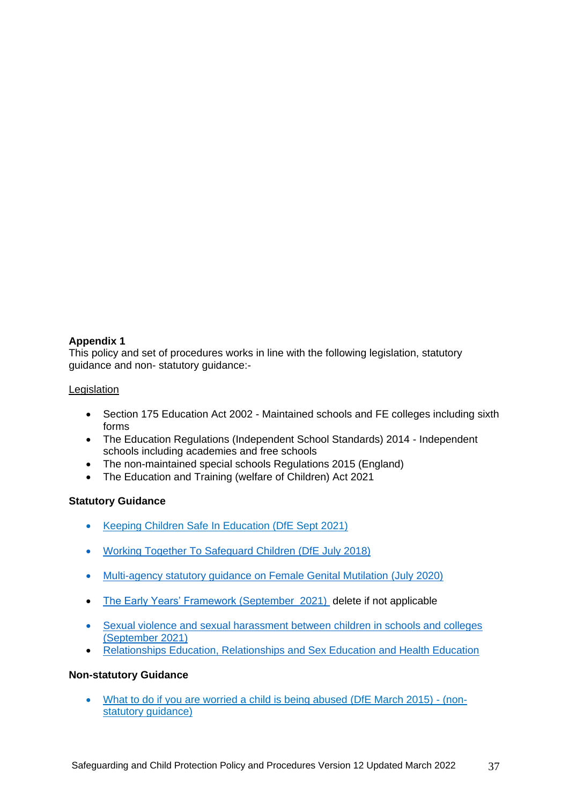## **Appendix 1**

This policy and set of procedures works in line with the following legislation, statutory guidance and non- statutory guidance:-

## Legislation

- Section 175 Education Act 2002 Maintained schools and FE colleges including sixth forms
- The Education Regulations (Independent School Standards) 2014 Independent schools including academies and free schools
- The non-maintained special schools Regulations 2015 (England)
- The Education and Training (welfare of Children) Act 2021

## **Statutory Guidance**

- Keeping Children [Safe In Education \(DfE Sept 2021\)](https://assets.publishing.service.gov.uk/government/uploads/system/uploads/attachment_data/file/999348/Keeping_children_safe_in_education_2021.pdf)
- [Working Together To Safeguard Children](https://assets.publishing.service.gov.uk/government/uploads/system/uploads/attachment_data/file/722305/Working_Together_to_Safeguard_Children_-_Guide.pdf) (DfE July 2018)
- [Multi-agency statutory guidance on Female Genital Mutilation \(July 2020\)](https://assets.publishing.service.gov.uk/government/uploads/system/uploads/attachment_data/file/800306/6-1914-HO-Multi_Agency_Statutory_Guidance.pdf)
- [The Early Years' Framework \(September 2021\)](https://assets.publishing.service.gov.uk/government/uploads/system/uploads/attachment_data/file/974907/EYFS_framework_-_March_2021.pdf) delete if not applicable
- [Sexual violence and sexual harassment between children](https://assets.publishing.service.gov.uk/government/uploads/system/uploads/attachment_data/file/999239/SVSH_2021.pdf) in schools and colleges [\(September 2021\)](https://assets.publishing.service.gov.uk/government/uploads/system/uploads/attachment_data/file/999239/SVSH_2021.pdf)
- [Relationships Education, Relationships and Sex Education and Health Education](https://www.gov.uk/government/publications/relationships-education-relationships-and-sex-education-rse-and-health-education)

## **Non-statutory Guidance**

 [What to do if you are worried a child](https://www.gov.uk/government/publications/what-to-do-if-youre-worried-a-child-is-being-abused--2) is being abused (DfE March 2015) - (non[statutory guidance\)](https://www.gov.uk/government/publications/what-to-do-if-youre-worried-a-child-is-being-abused--2)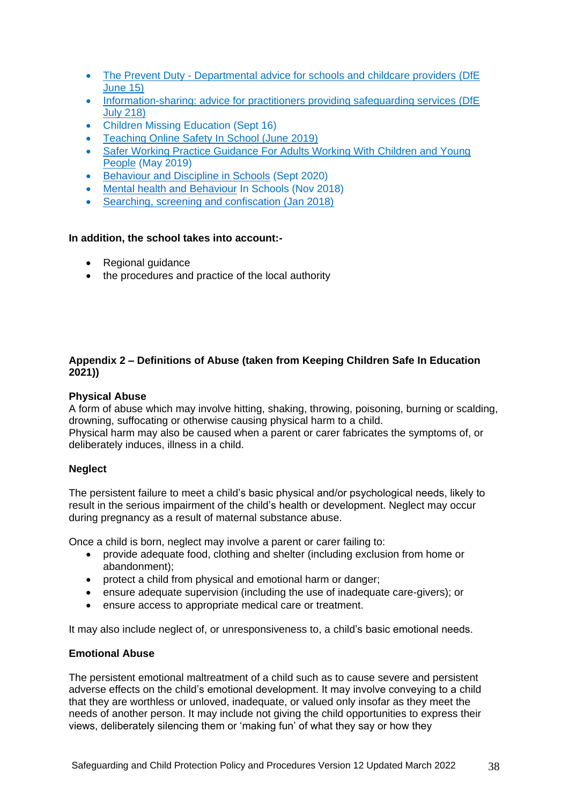- The Prevent Duty [Departmental advice for schools and](https://www.gov.uk/government/uploads/system/uploads/attachment_data/file/439598/prevent-duty-departmental-advice-v6.pdf) childcare providers (DfE [June 15\)](https://www.gov.uk/government/uploads/system/uploads/attachment_data/file/439598/prevent-duty-departmental-advice-v6.pdf)
- Information-sharing: advice for practitioners providing safeguarding services (DfE) [July 218\)](https://www.gov.uk/government/publications/safeguarding-practitioners-information-sharing-advice)
- Children Missing Education (Sept 16)
- [Teaching Online Safety In School \(June 2019\)](https://www.gov.uk/government/publications/teaching-online-safety-in-schools)
- [Safer Working Practice Guidance For Adults Working With Children](https://www.saferrecruitmentconsortium.org/GSWP%20May%202019%20final.pdf) and Young [People](https://www.saferrecruitmentconsortium.org/GSWP%20May%202019%20final.pdf) (May 2019)
- [Behaviour and Discipline in Schools](https://assets.publishing.service.gov.uk/government/uploads/system/uploads/attachment_data/file/488034/Behaviour_and_Discipline_in_Schools_-_A_guide_for_headteachers_and_School_Staff.pdf) (Sept 2020)
- [Mental health and Behaviour](https://assets.publishing.service.gov.uk/government/uploads/system/uploads/attachment_data/file/755135/Mental_health_and_behaviour_in_schools__.pdf) In Schools (Nov 2018)
- [Searching, screening and confiscation \(Jan 2018\)](https://assets.publishing.service.gov.uk/government/uploads/system/uploads/attachment_data/file/674416/Searching_screening_and_confiscation.pdf)

## **In addition, the school takes into account:-**

- Regional guidance
- the procedures and practice of the local authority

## **Appendix 2 – Definitions of Abuse (taken from Keeping Children Safe In Education 2021))**

## **Physical Abuse**

A form of abuse which may involve hitting, shaking, throwing, poisoning, burning or scalding, drowning, suffocating or otherwise causing physical harm to a child. Physical harm may also be caused when a parent or carer fabricates the symptoms of, or deliberately induces, illness in a child.

## **Neglect**

The persistent failure to meet a child's basic physical and/or psychological needs, likely to result in the serious impairment of the child's health or development. Neglect may occur during pregnancy as a result of maternal substance abuse.

Once a child is born, neglect may involve a parent or carer failing to:

- provide adequate food, clothing and shelter (including exclusion from home or abandonment);
- protect a child from physical and emotional harm or danger;
- ensure adequate supervision (including the use of inadequate care-givers); or
- ensure access to appropriate medical care or treatment.

It may also include neglect of, or unresponsiveness to, a child's basic emotional needs.

## **Emotional Abuse**

The persistent emotional maltreatment of a child such as to cause severe and persistent adverse effects on the child's emotional development. It may involve conveying to a child that they are worthless or unloved, inadequate, or valued only insofar as they meet the needs of another person. It may include not giving the child opportunities to express their views, deliberately silencing them or 'making fun' of what they say or how they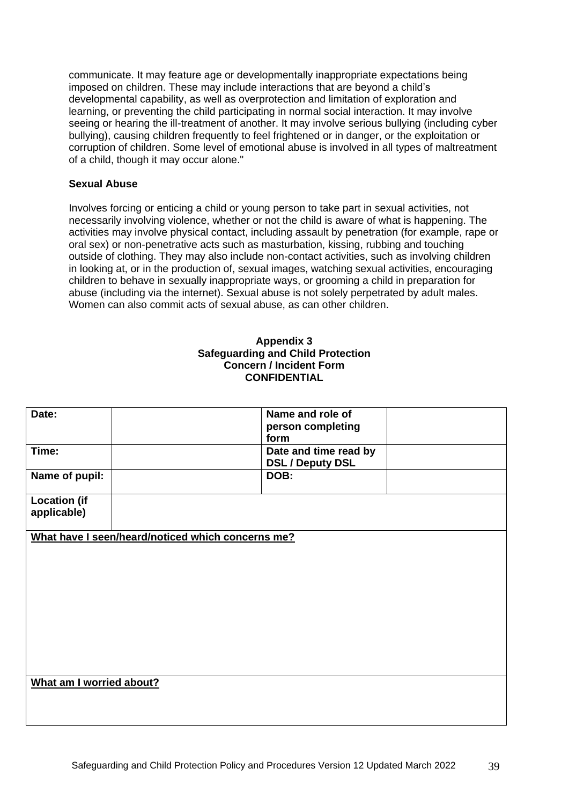communicate. It may feature age or developmentally inappropriate expectations being imposed on children. These may include interactions that are beyond a child's developmental capability, as well as overprotection and limitation of exploration and learning, or preventing the child participating in normal social interaction. It may involve seeing or hearing the ill-treatment of another. It may involve serious bullying (including cyber bullying), causing children frequently to feel frightened or in danger, or the exploitation or corruption of children. Some level of emotional abuse is involved in all types of maltreatment of a child, though it may occur alone."

## **Sexual Abuse**

Involves forcing or enticing a child or young person to take part in sexual activities, not necessarily involving violence, whether or not the child is aware of what is happening. The activities may involve physical contact, including assault by penetration (for example, rape or oral sex) or non-penetrative acts such as masturbation, kissing, rubbing and touching outside of clothing. They may also include non-contact activities, such as involving children in looking at, or in the production of, sexual images, watching sexual activities, encouraging children to behave in sexually inappropriate ways, or grooming a child in preparation for abuse (including via the internet). Sexual abuse is not solely perpetrated by adult males. Women can also commit acts of sexual abuse, as can other children.

## **Appendix 3 Safeguarding and Child Protection Concern / Incident Form CONFIDENTIAL**

| Date:                                             | Name and role of<br>person completing<br>form    |  |
|---------------------------------------------------|--------------------------------------------------|--|
| Time:                                             | Date and time read by<br><b>DSL / Deputy DSL</b> |  |
| Name of pupil:                                    | DOB:                                             |  |
| <b>Location (if</b><br>applicable)                |                                                  |  |
| What have I seen/heard/noticed which concerns me? |                                                  |  |
| What am I worried about?                          |                                                  |  |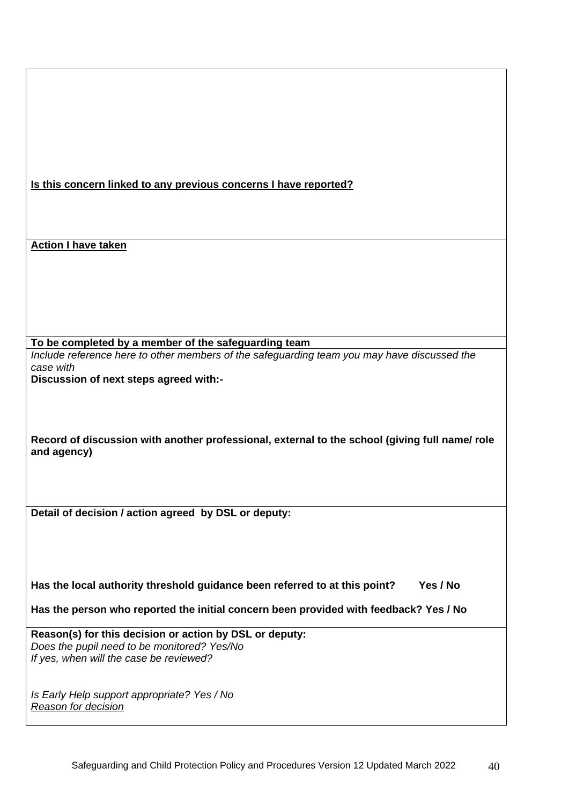|  |  |  | Is this concern linked to any previous concerns I have reported? |  |
|--|--|--|------------------------------------------------------------------|--|
|  |  |  |                                                                  |  |
|  |  |  |                                                                  |  |

**Action I have taken**

**To be completed by a member of the safeguarding team**

*Include reference here to other members of the safeguarding team you may have discussed the case with* 

**Discussion of next steps agreed with:-**

**Record of discussion with another professional, external to the school (giving full name/ role and agency)**

**Detail of decision / action agreed by DSL or deputy:**

**Has the local authority threshold guidance been referred to at this point? Yes / No**

**Has the person who reported the initial concern been provided with feedback? Yes / No**

**Reason(s) for this decision or action by DSL or deputy:** *Does the pupil need to be monitored? Yes/No If yes, when will the case be reviewed?*

*Is Early Help support appropriate? Yes / No Reason for decision*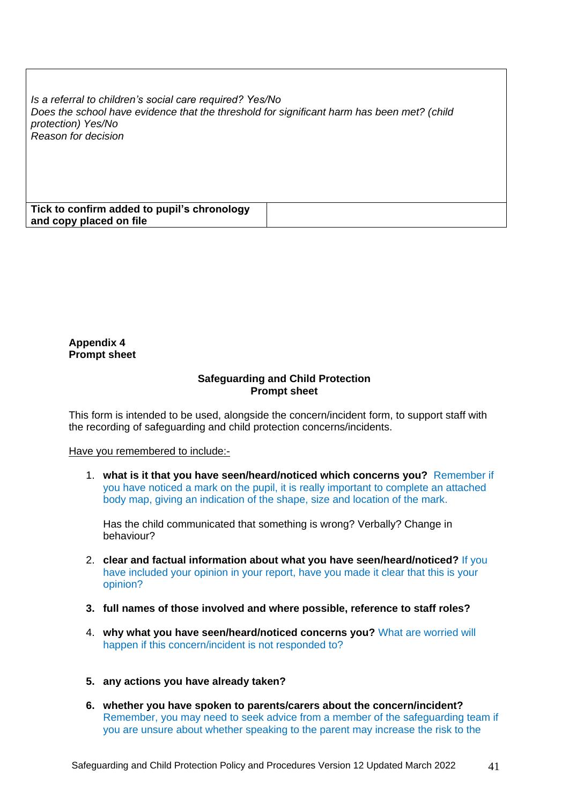*Is a referral to children's social care required? Yes/No Does the school have evidence that the threshold for significant harm has been met? (child protection) Yes/No Reason for decision*

| Tick to confirm added to pupil's chronology |  |
|---------------------------------------------|--|
| and copy placed on file                     |  |

#### **Appendix 4 Prompt sheet**

#### **Safeguarding and Child Protection Prompt sheet**

This form is intended to be used, alongside the concern/incident form, to support staff with the recording of safeguarding and child protection concerns/incidents.

#### Have you remembered to include:-

1. **what is it that you have seen/heard/noticed which concerns you?** Remember if you have noticed a mark on the pupil, it is really important to complete an attached body map, giving an indication of the shape, size and location of the mark.

Has the child communicated that something is wrong? Verbally? Change in behaviour?

- 2. **clear and factual information about what you have seen/heard/noticed?** If you have included your opinion in your report, have you made it clear that this is your opinion?
- **3. full names of those involved and where possible, reference to staff roles?**
- 4. **why what you have seen/heard/noticed concerns you?** What are worried will happen if this concern/incident is not responded to?
- **5. any actions you have already taken?**
- **6. whether you have spoken to parents/carers about the concern/incident?** Remember, you may need to seek advice from a member of the safeguarding team if you are unsure about whether speaking to the parent may increase the risk to the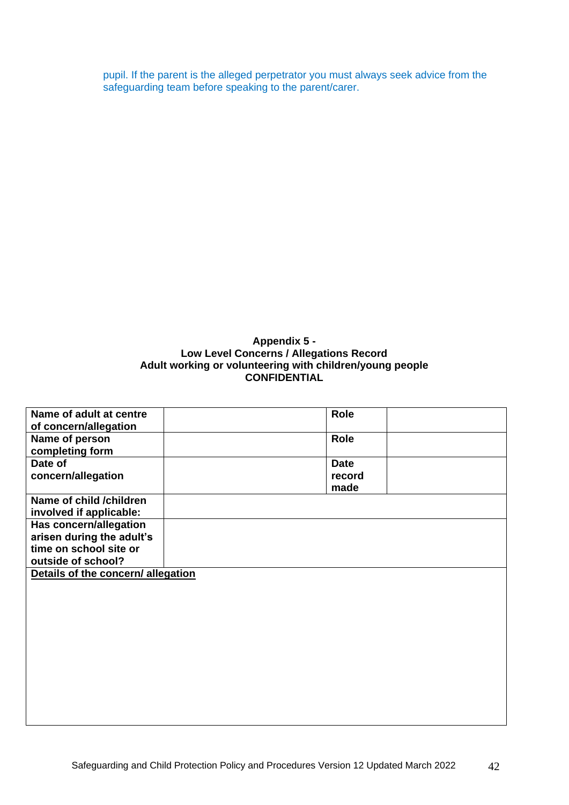pupil. If the parent is the alleged perpetrator you must always seek advice from the safeguarding team before speaking to the parent/carer.

## **Appendix 5 - Low Level Concerns / Allegations Record Adult working or volunteering with children/young people CONFIDENTIAL**

| Name of adult at centre            | Role        |
|------------------------------------|-------------|
| of concern/allegation              |             |
| Name of person                     | <b>Role</b> |
| completing form                    |             |
| Date of                            | <b>Date</b> |
| concern/allegation                 | record      |
|                                    | made        |
| Name of child /children            |             |
| involved if applicable:            |             |
| Has concern/allegation             |             |
| arisen during the adult's          |             |
| time on school site or             |             |
| outside of school?                 |             |
| Details of the concern/ allegation |             |
|                                    |             |
|                                    |             |
|                                    |             |
|                                    |             |
|                                    |             |
|                                    |             |
|                                    |             |
|                                    |             |
|                                    |             |
|                                    |             |
|                                    |             |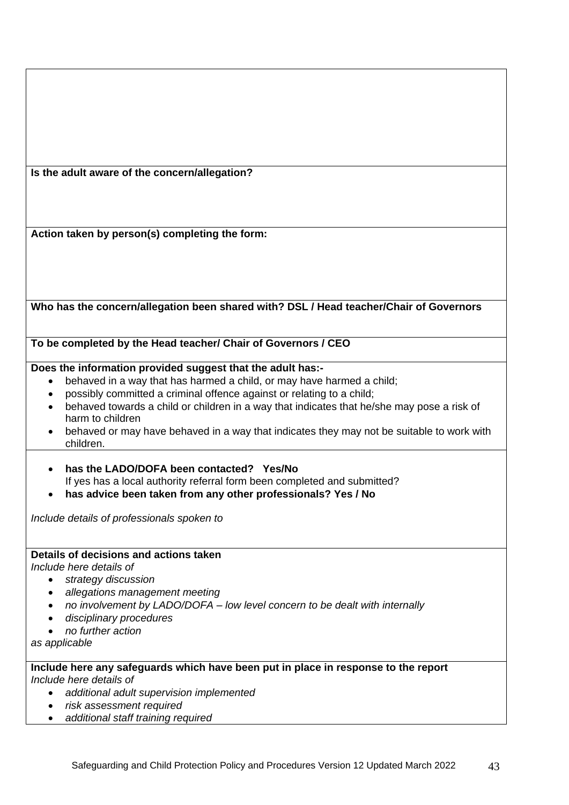| Is the adult aware of the concern/allegation?                                              |
|--------------------------------------------------------------------------------------------|
|                                                                                            |
|                                                                                            |
|                                                                                            |
| Action taken by person(s) completing the form:                                             |
|                                                                                            |
|                                                                                            |
|                                                                                            |
|                                                                                            |
|                                                                                            |
| Who has the concern/allegation been shared with? DSL / Head teacher/Chair of Governors     |
|                                                                                            |
|                                                                                            |
| To be completed by the Head teacher/ Chair of Governors / CEO                              |
|                                                                                            |
| Does the information provided suggest that the adult has:-                                 |
| behaved in a way that has harmed a child, or may have harmed a child;<br>$\bullet$         |
| possibly committed a criminal offence against or relating to a child;                      |
| behaved towards a child or children in a way that indicates that he/she may pose a risk of |
| harm to children                                                                           |
| behaved or may have behaved in a way that indicates they may not be suitable to work with  |
| children.                                                                                  |
| has the LADO/DOFA been contacted? Yes/No                                                   |
| If yes has a local authority referral form been completed and submitted?                   |
|                                                                                            |
| has advice been taken from any other professionals? Yes / No                               |
| Include details of professionals spoken to                                                 |
|                                                                                            |
|                                                                                            |
| Details of decisions and actions taken                                                     |
| Include here details of                                                                    |
| strategy discussion                                                                        |
| allegations management meeting                                                             |
| no involvement by LADO/DOFA - low level concern to be dealt with internally                |
| disciplinary procedures                                                                    |
| no further action                                                                          |
| as applicable                                                                              |
|                                                                                            |
| Include here any safeguards which have been put in place in response to the report         |
| Include here details of                                                                    |
| additional adult supervision implemented                                                   |
| risk assessment required                                                                   |
| additional staff training required                                                         |

*additional staff training required*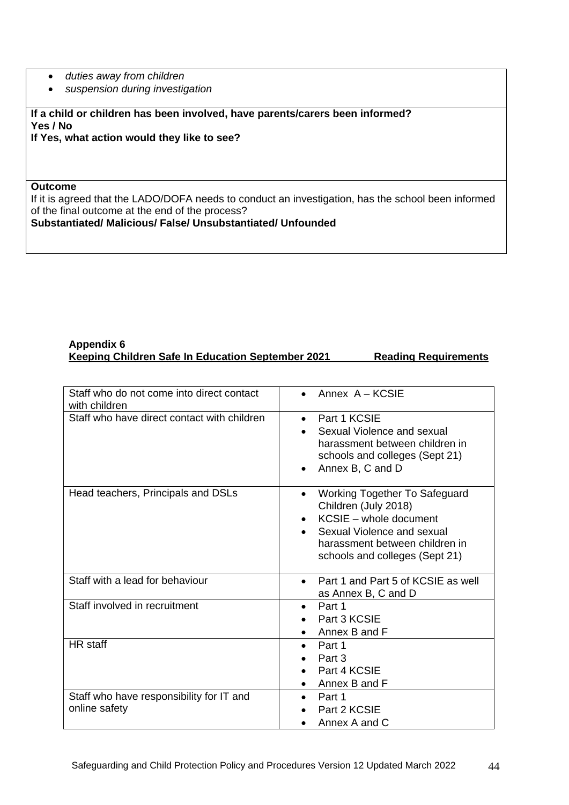- *duties away from children*
- *suspension during investigation*

**If a child or children has been involved, have parents/carers been informed? Yes / No**

**If Yes, what action would they like to see?**

#### **Outcome**

If it is agreed that the LADO/DOFA needs to conduct an investigation, has the school been informed of the final outcome at the end of the process?

**Substantiated/ Malicious/ False/ Unsubstantiated/ Unfounded**

#### **Appendix 6 Keeping Children Safe In Education September 2021 Reading Requirements**

| Staff who do not come into direct contact<br>with children | Annex A - KCSIE                                                                                                                                                                                                    |
|------------------------------------------------------------|--------------------------------------------------------------------------------------------------------------------------------------------------------------------------------------------------------------------|
| Staff who have direct contact with children                | Part 1 KCSIE<br>$\bullet$<br>Sexual Violence and sexual<br>harassment between children in<br>schools and colleges (Sept 21)<br>Annex B, C and D                                                                    |
| Head teachers, Principals and DSLs                         | <b>Working Together To Safeguard</b><br>$\bullet$<br>Children (July 2018)<br>KCSIE - whole document<br>$\bullet$<br>Sexual Violence and sexual<br>harassment between children in<br>schools and colleges (Sept 21) |
| Staff with a lead for behaviour                            | Part 1 and Part 5 of KCSIE as well<br>$\bullet$<br>as Annex B, C and D                                                                                                                                             |
| Staff involved in recruitment                              | Part 1<br>$\bullet$<br>Part 3 KCSIE<br>Annex B and F                                                                                                                                                               |
| HR staff                                                   | Part 1<br>$\bullet$<br>Part 3<br>Part 4 KCSIE<br>Annex B and F                                                                                                                                                     |
| Staff who have responsibility for IT and<br>online safety  | Part 1<br>Part 2 KCSIE<br>Annex A and C                                                                                                                                                                            |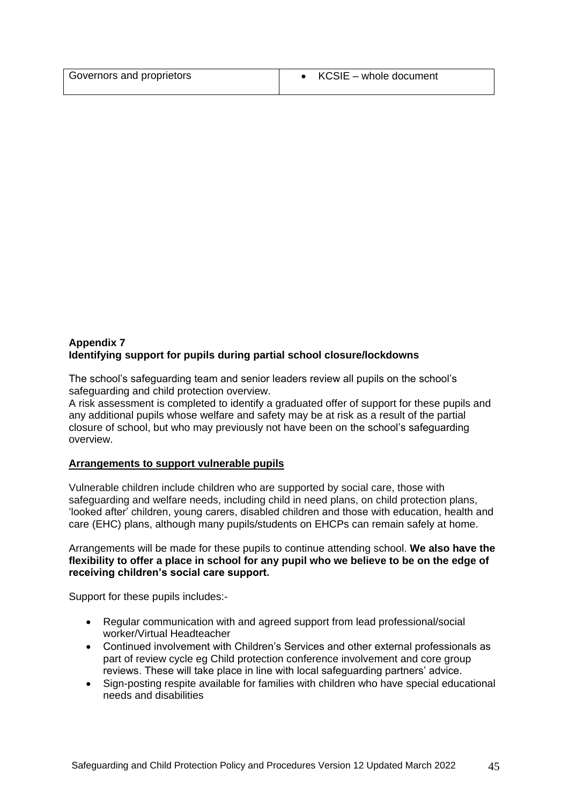| Governors and proprietors | $\bullet$ KCSIE – whole document |
|---------------------------|----------------------------------|

## **Appendix 7 Identifying support for pupils during partial school closure/lockdowns**

The school's safeguarding team and senior leaders review all pupils on the school's safeguarding and child protection overview.

A risk assessment is completed to identify a graduated offer of support for these pupils and any additional pupils whose welfare and safety may be at risk as a result of the partial closure of school, but who may previously not have been on the school's safeguarding overview.

## **Arrangements to support vulnerable pupils**

Vulnerable children include children who are supported by social care, those with safeguarding and welfare needs, including child in need plans, on child protection plans, 'looked after' children, young carers, disabled children and those with [education,](https://www.gov.uk/children-with-special-educational-needs/extra-SEN-help) health and care [\(EHC\)](https://www.gov.uk/children-with-special-educational-needs/extra-SEN-help) plans, although many pupils/students on EHCPs can remain safely at home.

Arrangements will be made for these pupils to continue attending school. **We also have the flexibility to offer a place in school for any pupil who we believe to be on the edge of receiving children's social care support.**

Support for these pupils includes:-

- Regular communication with and agreed support from lead professional/social worker/Virtual Headteacher
- Continued involvement with Children's Services and other external professionals as part of review cycle eg Child protection conference involvement and core group reviews. These will take place in line with local safeguarding partners' advice.
- Sign-posting respite available for families with children who have special educational needs and disabilities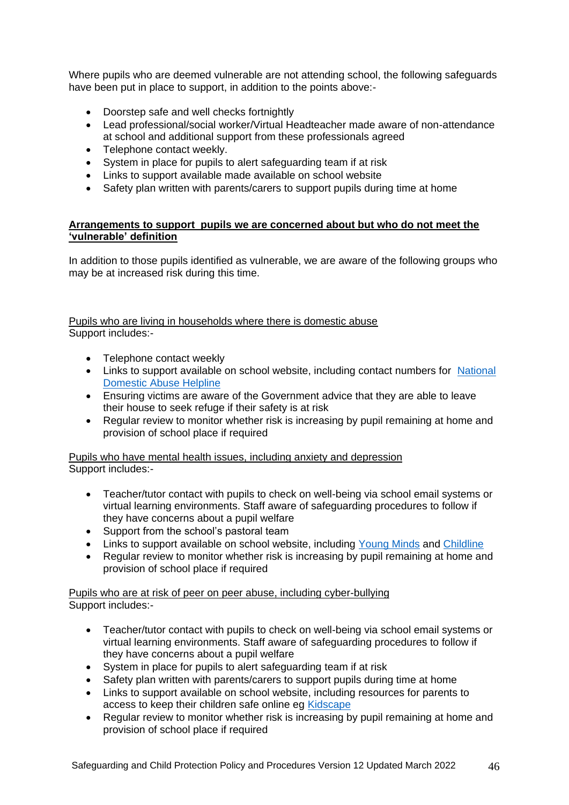Where pupils who are deemed vulnerable are not attending school, the following safeguards have been put in place to support, in addition to the points above:-

- Doorstep safe and well checks fortnightly
- Lead professional/social worker/Virtual Headteacher made aware of non-attendance at school and additional support from these professionals agreed
- Telephone contact weekly.
- System in place for pupils to alert safeguarding team if at risk
- Links to support available made available on school website
- Safety plan written with parents/carers to support pupils during time at home

## **Arrangements to support pupils we are concerned about but who do not meet the 'vulnerable' definition**

In addition to those pupils identified as vulnerable, we are aware of the following groups who may be at increased risk during this time.

## Pupils who are living in households where there is domestic abuse Support includes:-

- Telephone contact weekly
- Links to support available on school website, including contact numbers for National [Domestic Abuse Helpline](https://www.nationaldahelpline.org.uk/)
- Ensuring victims are aware of the Government advice that they are able to leave their house to seek refuge if their safety is at risk
- Regular review to monitor whether risk is increasing by pupil remaining at home and provision of school place if required

Pupils who have mental health issues, including anxiety and depression Support includes:-

- Teacher/tutor contact with pupils to check on well-being via school email systems or virtual learning environments. Staff aware of safeguarding procedures to follow if they have concerns about a pupil welfare
- Support from the school's pastoral team
- Links to support available on school website, including [Young Minds](https://youngminds.org.uk/) and [Childline](https://www.childline.org.uk/)
- Regular review to monitor whether risk is increasing by pupil remaining at home and provision of school place if required

## Pupils who are at risk of peer on peer abuse, including cyber-bullying Support includes:-

- Teacher/tutor contact with pupils to check on well-being via school email systems or virtual learning environments. Staff aware of safeguarding procedures to follow if they have concerns about a pupil welfare
- System in place for pupils to alert safeguarding team if at risk
- Safety plan written with parents/carers to support pupils during time at home
- Links to support available on school website, including resources for parents to access to keep their children safe online eg [Kidscape](https://www.kidscape.org.uk/advice/advice-for-parents-and-carers/cyberbullying-and-digital-safety/reporting-cyberbullying/)
- Regular review to monitor whether risk is increasing by pupil remaining at home and provision of school place if required